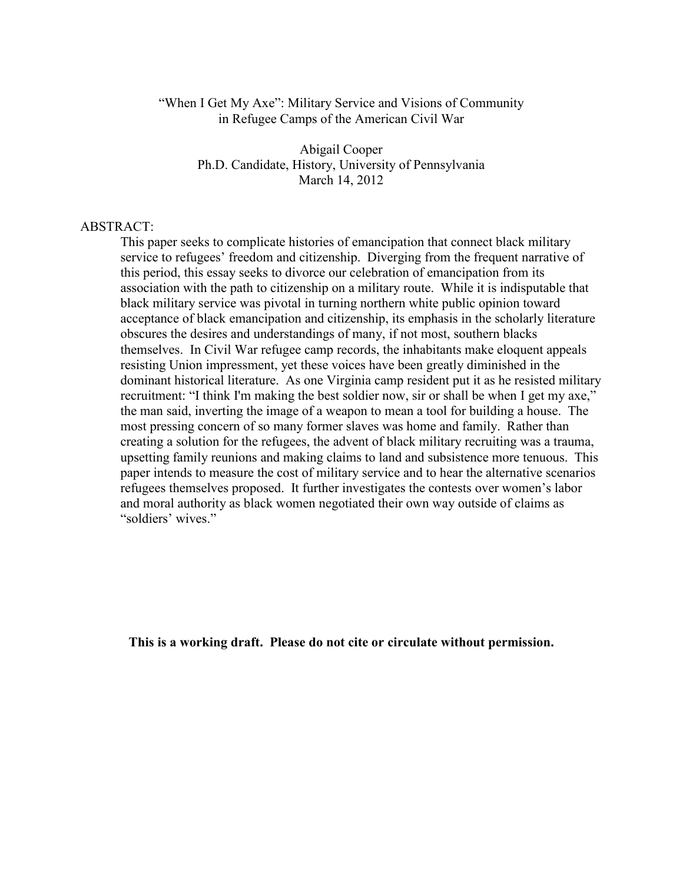#### "When I Get My Axe": Military Service and Visions of Community in Refugee Camps of the American Civil War

Abigail Cooper Ph.D. Candidate, History, University of Pennsylvania March 14, 2012

#### ABSTRACT:

This paper seeks to complicate histories of emancipation that connect black military service to refugees' freedom and citizenship. Diverging from the frequent narrative of this period, this essay seeks to divorce our celebration of emancipation from its association with the path to citizenship on a military route. While it is indisputable that black military service was pivotal in turning northern white public opinion toward acceptance of black emancipation and citizenship, its emphasis in the scholarly literature obscures the desires and understandings of many, if not most, southern blacks themselves. In Civil War refugee camp records, the inhabitants make eloquent appeals resisting Union impressment, yet these voices have been greatly diminished in the dominant historical literature. As one Virginia camp resident put it as he resisted military recruitment: "I think I'm making the best soldier now, sir or shall be when I get my axe," the man said, inverting the image of a weapon to mean a tool for building a house. The most pressing concern of so many former slaves was home and family. Rather than creating a solution for the refugees, the advent of black military recruiting was a trauma, upsetting family reunions and making claims to land and subsistence more tenuous. This paper intends to measure the cost of military service and to hear the alternative scenarios refugees themselves proposed. It further investigates the contests over women's labor and moral authority as black women negotiated their own way outside of claims as "soldiers' wives."

**This is a working draft. Please do not cite or circulate without permission.**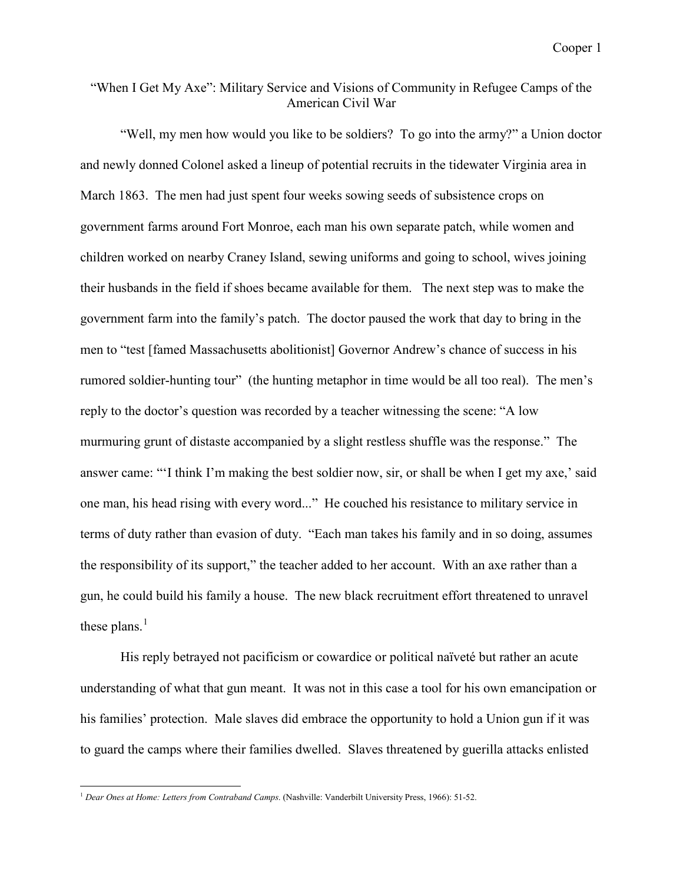# "When I Get My Axe": Military Service and Visions of Community in Refugee Camps of the American Civil War

"Well, my men how would you like to be soldiers? To go into the army?" a Union doctor and newly donned Colonel asked a lineup of potential recruits in the tidewater Virginia area in March 1863. The men had just spent four weeks sowing seeds of subsistence crops on government farms around Fort Monroe, each man his own separate patch, while women and children worked on nearby Craney Island, sewing uniforms and going to school, wives joining their husbands in the field if shoes became available for them. The next step was to make the government farm into the family's patch. The doctor paused the work that day to bring in the men to "test [famed Massachusetts abolitionist] Governor Andrew's chance of success in his rumored soldier-hunting tour" (the hunting metaphor in time would be all too real). The men's reply to the doctor's question was recorded by a teacher witnessing the scene: "A low murmuring grunt of distaste accompanied by a slight restless shuffle was the response." The answer came: "'I think I'm making the best soldier now, sir, or shall be when I get my axe,' said one man, his head rising with every word..." He couched his resistance to military service in terms of duty rather than evasion of duty. "Each man takes his family and in so doing, assumes the responsibility of its support," the teacher added to her account. With an axe rather than a gun, he could build his family a house. The new black recruitment effort threatened to unravel these plans. $<sup>1</sup>$  $<sup>1</sup>$  $<sup>1</sup>$ </sup>

His reply betrayed not pacificism or cowardice or political naïveté but rather an acute understanding of what that gun meant. It was not in this case a tool for his own emancipation or his families' protection. Male slaves did embrace the opportunity to hold a Union gun if it was to guard the camps where their families dwelled. Slaves threatened by guerilla attacks enlisted

<span id="page-1-0"></span> <sup>1</sup> *Dear Ones at Home: Letters from Contraband Camps*. (Nashville: Vanderbilt University Press, 1966): 51-52.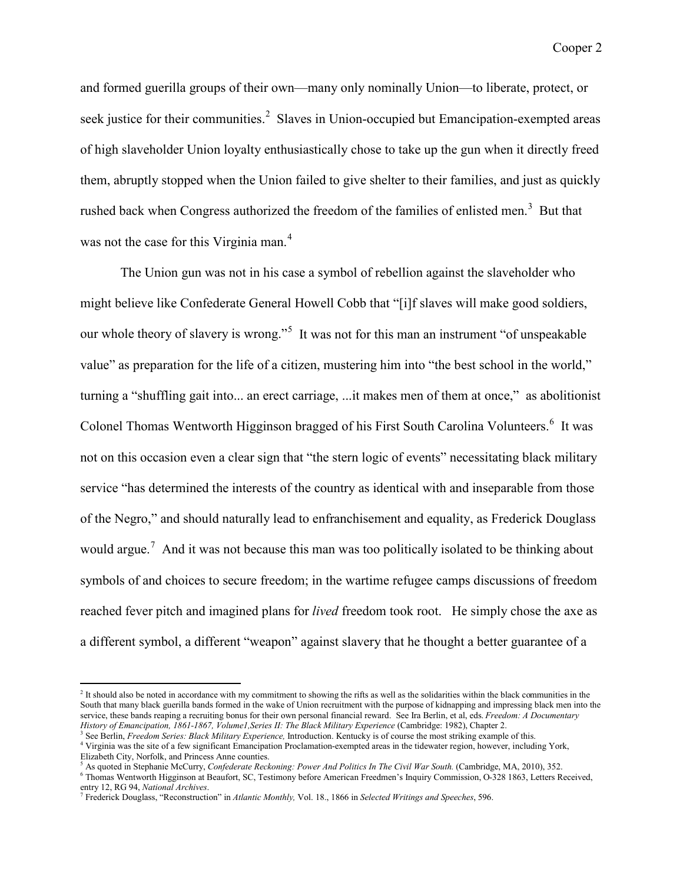and formed guerilla groups of their own—many only nominally Union—to liberate, protect, or seek justice for their communities.<sup>[2](#page-2-1)</sup> Slaves in Union-occupied but Emancipation-exempted areas of high slaveholder Union loyalty enthusiastically chose to take up the gun when it directly freed them, abruptly stopped when the Union failed to give shelter to their families, and just as quickly rushed back when Congress authorized the freedom of the families of enlisted men.<sup>[3](#page-2-2)</sup> But that was not the case for this Virginia man.<sup>[4](#page-2-3)</sup>

The Union gun was not in his case a symbol of rebellion against the slaveholder who might believe like Confederate General Howell Cobb that "[i]f slaves will make good soldiers, our whole theory of slavery is wrong."<sup>[5](#page-2-4)</sup> It was not for this man an instrument "of unspeakable" value" as preparation for the life of a citizen, mustering him into "the best school in the world," turning a "shuffling gait into... an erect carriage, ...it makes men of them at once," as abolitionist Colonel Thomas Wentworth Higginson bragged of his First South Carolina Volunteers.<sup>[6](#page-2-5)</sup> It was not on this occasion even a clear sign that "the stern logic of events" necessitating black military service "has determined the interests of the country as identical with and inseparable from those of the Negro," and should naturally lead to enfranchisement and equality, as Frederick Douglass would argue.<sup>[7](#page-2-0)</sup> And it was not because this man was too politically isolated to be thinking about symbols of and choices to secure freedom; in the wartime refugee camps discussions of freedom reached fever pitch and imagined plans for *lived* freedom took root. He simply chose the axe as a different symbol, a different "weapon" against slavery that he thought a better guarantee of a

<span id="page-2-1"></span><sup>&</sup>lt;sup>2</sup> It should also be noted in accordance with my commitment to showing the rifts as well as the solidarities within the black communities in the South that many black guerilla bands formed in the wake of Union recruitment with the purpose of kidnapping and impressing black men into the service, these bands reaping a recruiting bonus for their own personal financial reward. See Ira Berlin, et al, eds. *Freedom: A Documentary History of Emancipation, 1861-1867, Volume1, Series II: The Black Military Experience* (Cambridge: 1982), Chapter 2.<br><sup>3</sup> See Berlin, *Freedom Series: Black Military Experience*, Introduction. Kentucky is of course the mos

<span id="page-2-3"></span><span id="page-2-2"></span><sup>&</sup>lt;sup>4</sup> Virginia was the site of a few significant Emancipation Proclamation-exempted areas in the tidewater region, however, including York, Elizabeth City, Norfolk, and Princess Anne counties.

<sup>5</sup> As quoted in Stephanie McCurry, *Confederate Reckoning: Power And Politics In The Civil War South.* (Cambridge, MA, 2010), 352.

<span id="page-2-5"></span><span id="page-2-4"></span><sup>6</sup> Thomas Wentworth Higginson at Beaufort, SC, Testimony before American Freedmen's Inquiry Commission, O-328 1863, Letters Received, entry 12, RG 94, *National Archives*.

<span id="page-2-0"></span><sup>7</sup> Frederick Douglass, "Reconstruction" in *Atlantic Monthly,* Vol. 18., 1866 in *Selected Writings and Speeches*, 596.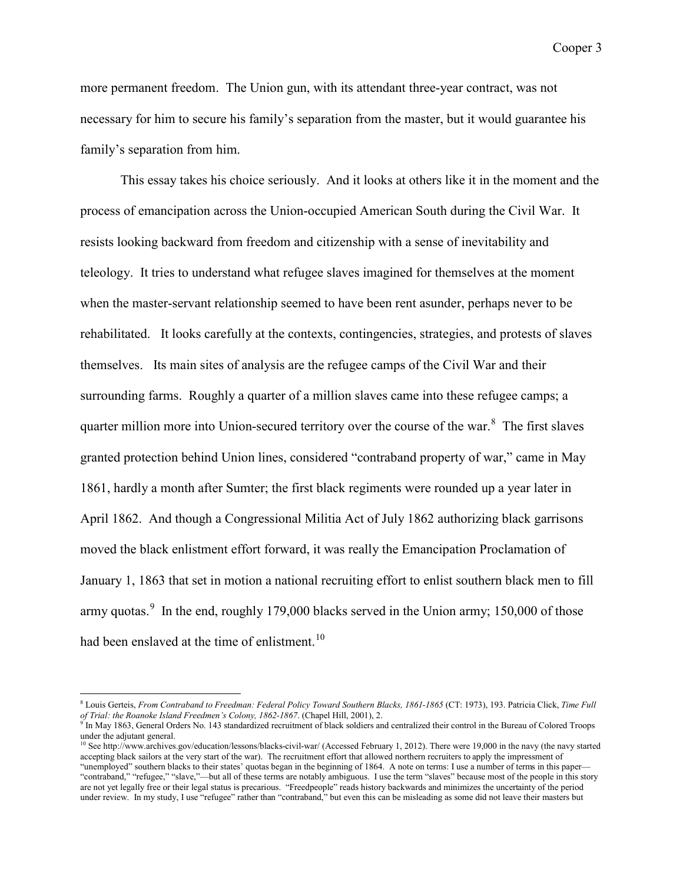more permanent freedom. The Union gun, with its attendant three-year contract, was not necessary for him to secure his family's separation from the master, but it would guarantee his family's separation from him.

This essay takes his choice seriously. And it looks at others like it in the moment and the process of emancipation across the Union-occupied American South during the Civil War. It resists looking backward from freedom and citizenship with a sense of inevitability and teleology. It tries to understand what refugee slaves imagined for themselves at the moment when the master-servant relationship seemed to have been rent asunder, perhaps never to be rehabilitated. It looks carefully at the contexts, contingencies, strategies, and protests of slaves themselves. Its main sites of analysis are the refugee camps of the Civil War and their surrounding farms. Roughly a quarter of a million slaves came into these refugee camps; a quarter million more into Union-secured territory over the course of the war. $8$  The first slaves granted protection behind Union lines, considered "contraband property of war," came in May 1861, hardly a month after Sumter; the first black regiments were rounded up a year later in April 1862. And though a Congressional Militia Act of July 1862 authorizing black garrisons moved the black enlistment effort forward, it was really the Emancipation Proclamation of January 1, 1863 that set in motion a national recruiting effort to enlist southern black men to fill army quotas. $9$  In the end, roughly 179,000 blacks served in the Union army; 150,000 of those had been enslaved at the time of enlistment.<sup>[10](#page-3-0)</sup>

<span id="page-3-1"></span> <sup>8</sup> Louis Gerteis, *From Contraband to Freedman: Federal Policy Toward Southern Blacks, 1861-1865* (CT: 1973), 193. Patricia Click, *Time Full of Trial: the Roanoke Island Freedmen's Colony, 1862-1867*. (Chapel Hill, 2001), 2.

<span id="page-3-2"></span> $9 \text{ In }$  May 1863, General Orders No. 143 standardized recruitment of black soldiers and centralized their control in the Bureau of Colored Troops under the adjutant general.

<span id="page-3-0"></span><sup>&</sup>lt;sup>10</sup> See http://www.archives.gov/education/lessons/blacks-civil-war/ (Accessed February 1, 2012). There were 19,000 in the navy (the navy started accepting black sailors at the very start of the war). The recruitment effort that allowed northern recruiters to apply the impressment of "unemployed" southern blacks to their states' quotas began in the beginning of 1864. A note on terms: I use a number of terms in this paper— "contraband," "refugee," "slave,"—but all of these terms are notably ambiguous. I use the term "slaves" because most of the people in this story are not yet legally free or their legal status is precarious. "Freedpeople" reads history backwards and minimizes the uncertainty of the period under review. In my study, I use "refugee" rather than "contraband," but even this can be misleading as some did not leave their masters but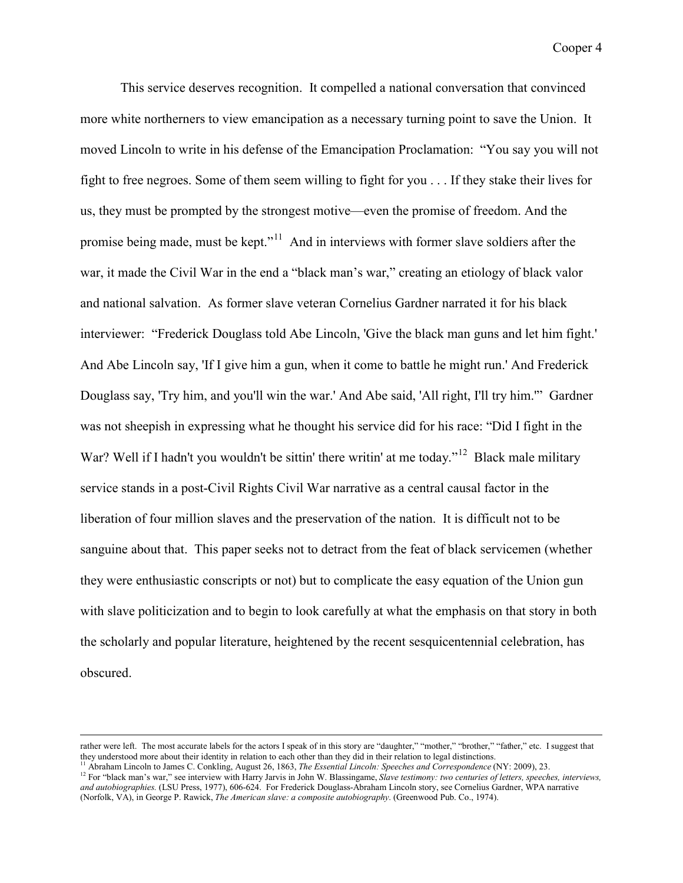This service deserves recognition. It compelled a national conversation that convinced more white northerners to view emancipation as a necessary turning point to save the Union. It moved Lincoln to write in his defense of the Emancipation Proclamation: "You say you will not fight to free negroes. Some of them seem willing to fight for you . . . If they stake their lives for us, they must be prompted by the strongest motive—even the promise of freedom. And the promise being made, must be kept."[11](#page-4-1) And in interviews with former slave soldiers after the war, it made the Civil War in the end a "black man's war," creating an etiology of black valor and national salvation. As former slave veteran Cornelius Gardner narrated it for his black interviewer: "Frederick Douglass told Abe Lincoln, 'Give the black man guns and let him fight.' And Abe Lincoln say, 'If I give him a gun, when it come to battle he might run.' And Frederick Douglass say, 'Try him, and you'll win the war.' And Abe said, 'All right, I'll try him.'" Gardner was not sheepish in expressing what he thought his service did for his race: "Did I fight in the War? Well if I hadn't you wouldn't be sittin' there writin' at me today."<sup>[12](#page-4-0)</sup> Black male military service stands in a post-Civil Rights Civil War narrative as a central causal factor in the liberation of four million slaves and the preservation of the nation. It is difficult not to be sanguine about that. This paper seeks not to detract from the feat of black servicemen (whether they were enthusiastic conscripts or not) but to complicate the easy equation of the Union gun with slave politicization and to begin to look carefully at what the emphasis on that story in both the scholarly and popular literature, heightened by the recent sesquicentennial celebration, has obscured.

rather were left. The most accurate labels for the actors I speak of in this story are "daughter," "mother," "brother," "father," etc. I suggest that they understood more about their identity in relation to each other than

<span id="page-4-1"></span><sup>&</sup>lt;sup>11</sup> Abraham Lincoln to James C. Conkling, August 26, 1863, *The Essential Lincoln: Speeches and Correspondence* (NY: 2009), 23.

<span id="page-4-0"></span><sup>&</sup>lt;sup>12</sup> For "black man's war," see interview with Harry Jarvis in John W. Blassingame, *Slave testimony: two centuries of letters, speeches, interviews, and autobiographies.* (LSU Press, 1977), 606-624. For Frederick Douglass-Abraham Lincoln story, see Cornelius Gardner, WPA narrative (Norfolk, VA), in George P. Rawick, *The American slave: a composite autobiography*. (Greenwood Pub. Co., 1974).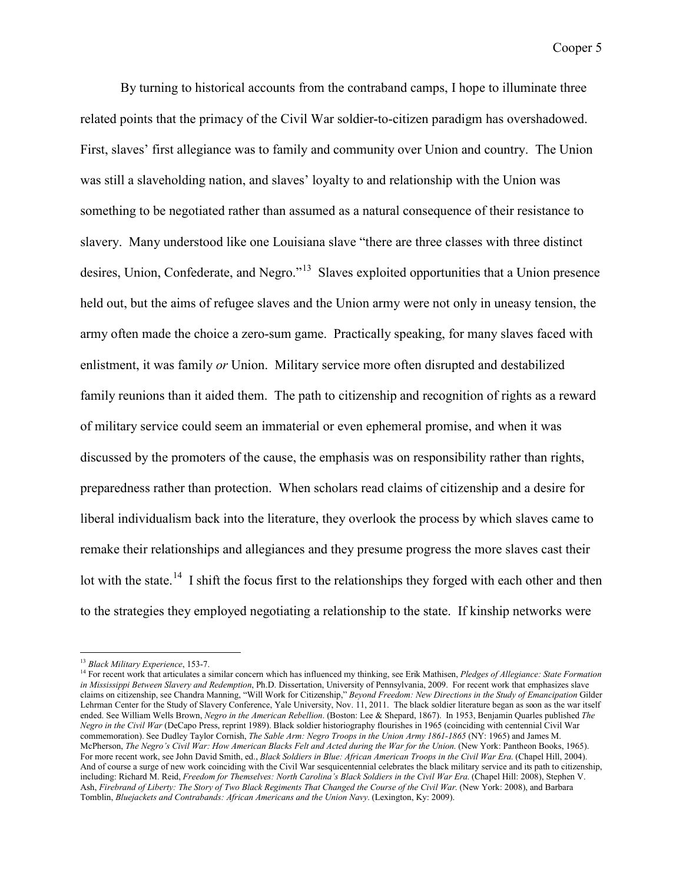By turning to historical accounts from the contraband camps, I hope to illuminate three related points that the primacy of the Civil War soldier-to-citizen paradigm has overshadowed. First, slaves' first allegiance was to family and community over Union and country. The Union was still a slaveholding nation, and slaves' loyalty to and relationship with the Union was something to be negotiated rather than assumed as a natural consequence of their resistance to slavery. Many understood like one Louisiana slave "there are three classes with three distinct desires, Union, Confederate, and Negro."<sup>[13](#page-5-1)</sup> Slaves exploited opportunities that a Union presence held out, but the aims of refugee slaves and the Union army were not only in uneasy tension, the army often made the choice a zero-sum game. Practically speaking, for many slaves faced with enlistment, it was family *or* Union. Military service more often disrupted and destabilized family reunions than it aided them. The path to citizenship and recognition of rights as a reward of military service could seem an immaterial or even ephemeral promise, and when it was discussed by the promoters of the cause, the emphasis was on responsibility rather than rights, preparedness rather than protection. When scholars read claims of citizenship and a desire for liberal individualism back into the literature, they overlook the process by which slaves came to remake their relationships and allegiances and they presume progress the more slaves cast their lot with the state.<sup>[14](#page-5-0)</sup> I shift the focus first to the relationships they forged with each other and then to the strategies they employed negotiating a relationship to the state. If kinship networks were

<span id="page-5-1"></span> <sup>13</sup> *Black Military Experience*, 153-7.

<span id="page-5-0"></span><sup>14</sup> For recent work that articulates a similar concern which has influenced my thinking, see Erik Mathisen, *Pledges of Allegiance: State Formation in Mississippi Between Slavery and Redemption*, Ph.D. Dissertation, University of Pennsylvania, 2009. For recent work that emphasizes slave claims on citizenship, see Chandra Manning, "Will Work for Citizenship," *Beyond Freedom: New Directions in the Study of Emancipation* Gilder Lehrman Center for the Study of Slavery Conference, Yale University, Nov. 11, 2011. The black soldier literature began as soon as the war itself ended. See William Wells Brown, *Negro in the American Rebellion*. (Boston: Lee & Shepard, 1867). In 1953, Benjamin Quarles published *The Negro in the Civil War* (DeCapo Press, reprint 1989). Black soldier historiography flourishes in 1965 (coinciding with centennial Civil War commemoration). See Dudley Taylor Cornish, *The Sable Arm: Negro Troops in the Union Army 1861-1865* (NY: 1965) and James M. McPherson, *The Negro's Civil War: How American Blacks Felt and Acted during the War for the Union*. (New York: Pantheon Books, 1965). For more recent work, see John David Smith, ed., *Black Soldiers in Blue: African American Troops in the Civil War Era*. (Chapel Hill, 2004). And of course a surge of new work coinciding with the Civil War sesquicentennial celebrates the black military service and its path to citizenship, including: Richard M. Reid, *Freedom for Themselves: North Carolina's Black Soldiers in the Civil War Era*. (Chapel Hill: 2008), Stephen V. Ash, *Firebrand of Liberty: The Story of Two Black Regiments That Changed the Course of the Civil War*. (New York: 2008), and Barbara Tomblin, *Bluejackets and Contrabands: African Americans and the Union Navy*. (Lexington, Ky: 2009).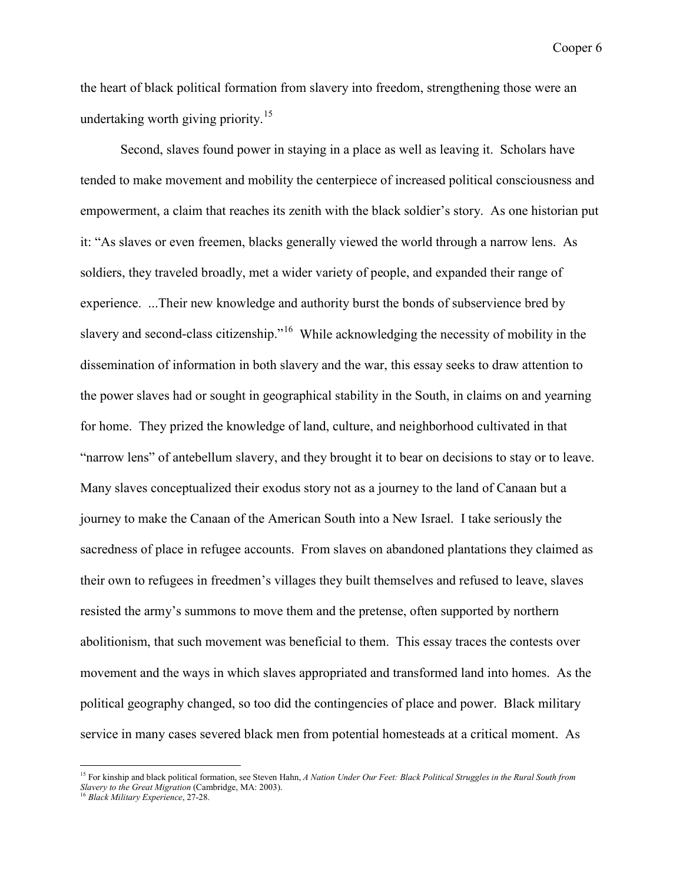the heart of black political formation from slavery into freedom, strengthening those were an undertaking worth giving priority.<sup>15</sup>

Second, slaves found power in staying in a place as well as leaving it. Scholars have tended to make movement and mobility the centerpiece of increased political consciousness and empowerment, a claim that reaches its zenith with the black soldier's story. As one historian put it: "As slaves or even freemen, blacks generally viewed the world through a narrow lens. As soldiers, they traveled broadly, met a wider variety of people, and expanded their range of experience. ...Their new knowledge and authority burst the bonds of subservience bred by slavery and second-class citizenship."<sup>16</sup> While acknowledging the necessity of mobility in the dissemination of information in both slavery and the war, this essay seeks to draw attention to the power slaves had or sought in geographical stability in the South, in claims on and yearning for home. They prized the knowledge of land, culture, and neighborhood cultivated in that "narrow lens" of antebellum slavery, and they brought it to bear on decisions to stay or to leave. Many slaves conceptualized their exodus story not as a journey to the land of Canaan but a journey to make the Canaan of the American South into a New Israel. I take seriously the sacredness of place in refugee accounts. From slaves on abandoned plantations they claimed as their own to refugees in freedmen's villages they built themselves and refused to leave, slaves resisted the army's summons to move them and the pretense, often supported by northern abolitionism, that such movement was beneficial to them. This essay traces the contests over movement and the ways in which slaves appropriated and transformed land into homes. As the political geography changed, so too did the contingencies of place and power. Black military service in many cases severed black men from potential homesteads at a critical moment. As

<span id="page-6-1"></span><sup>&</sup>lt;sup>15</sup> For kinship and black political formation, see Steven Hahn, *A Nation Under Our Feet: Black Political Struggles in the Rural South from Slavery to the Great Migration* (Cambridge, MA: 2003).

<span id="page-6-0"></span><sup>16</sup> *Black Military Experience*, 27-28.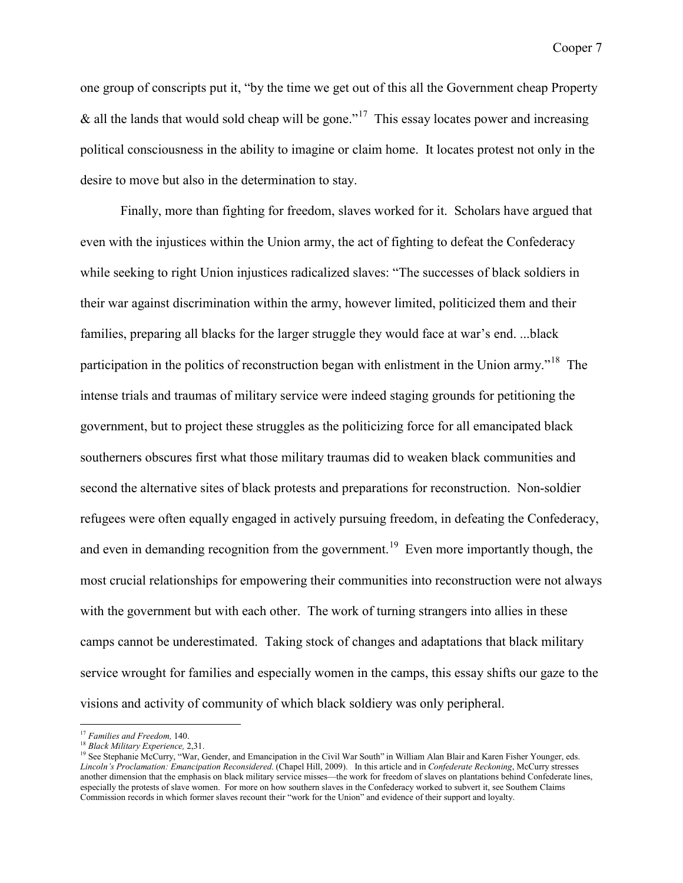one group of conscripts put it, "by the time we get out of this all the Government cheap Property & all the lands that would sold cheap will be gone."<sup>17</sup> This essay locates power and increasing political consciousness in the ability to imagine or claim home. It locates protest not only in the desire to move but also in the determination to stay.

Finally, more than fighting for freedom, slaves worked for it. Scholars have argued that even with the injustices within the Union army, the act of fighting to defeat the Confederacy while seeking to right Union injustices radicalized slaves: "The successes of black soldiers in their war against discrimination within the army, however limited, politicized them and their families, preparing all blacks for the larger struggle they would face at war's end. ...black participation in the politics of reconstruction began with enlistment in the Union army.<sup>[18](#page-7-2)</sup> The intense trials and traumas of military service were indeed staging grounds for petitioning the government, but to project these struggles as the politicizing force for all emancipated black southerners obscures first what those military traumas did to weaken black communities and second the alternative sites of black protests and preparations for reconstruction. Non-soldier refugees were often equally engaged in actively pursuing freedom, in defeating the Confederacy, and even in demanding recognition from the government.<sup>[19](#page-7-0)</sup> Even more importantly though, the most crucial relationships for empowering their communities into reconstruction were not always with the government but with each other. The work of turning strangers into allies in these camps cannot be underestimated. Taking stock of changes and adaptations that black military service wrought for families and especially women in the camps, this essay shifts our gaze to the visions and activity of community of which black soldiery was only peripheral.

<span id="page-7-1"></span> <sup>17</sup> *Families and Freedom,* 140.

<sup>18</sup> *Black Military Experience,* 2,31.

<span id="page-7-2"></span><span id="page-7-0"></span><sup>&</sup>lt;sup>19</sup> See Stephanie McCurry, "War, Gender, and Emancipation in the Civil War South" in William Alan Blair and Karen Fisher Younger, eds. *Lincoln's Proclamation: Emancipation Reconsidered*. (Chapel Hill, 2009). In this article and in *Confederate Reckoning*, McCurry stresses another dimension that the emphasis on black military service misses—the work for freedom of slaves on plantations behind Confederate lines, especially the protests of slave women. For more on how southern slaves in the Confederacy worked to subvert it, see Southern Claims Commission records in which former slaves recount their "work for the Union" and evidence of their support and loyalty.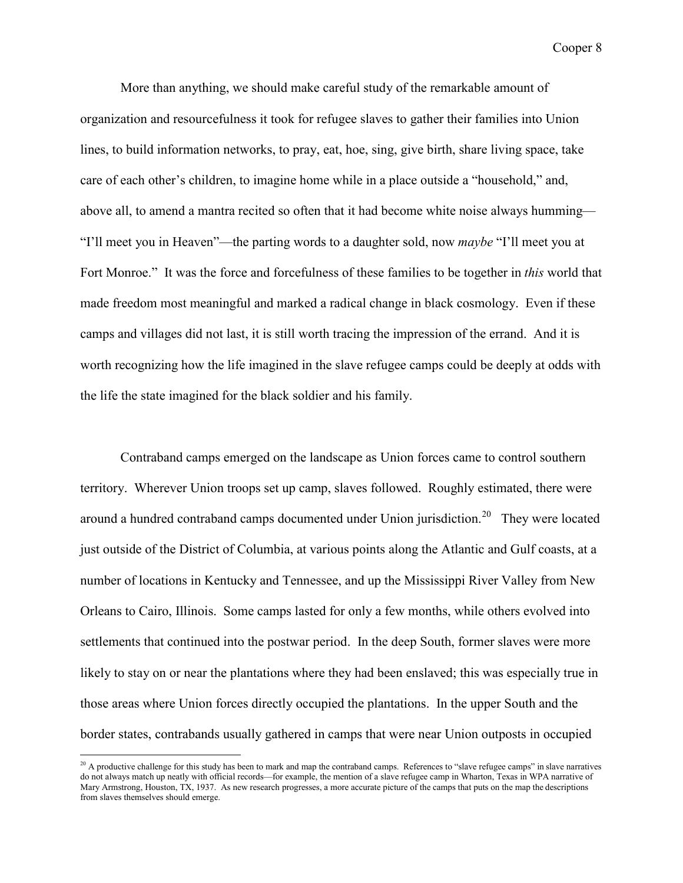More than anything, we should make careful study of the remarkable amount of organization and resourcefulness it took for refugee slaves to gather their families into Union lines, to build information networks, to pray, eat, hoe, sing, give birth, share living space, take care of each other's children, to imagine home while in a place outside a "household," and, above all, to amend a mantra recited so often that it had become white noise always humming— "I'll meet you in Heaven"—the parting words to a daughter sold, now *maybe* "I'll meet you at Fort Monroe." It was the force and forcefulness of these families to be together in *this* world that made freedom most meaningful and marked a radical change in black cosmology. Even if these camps and villages did not last, it is still worth tracing the impression of the errand. And it is worth recognizing how the life imagined in the slave refugee camps could be deeply at odds with the life the state imagined for the black soldier and his family.

Contraband camps emerged on the landscape as Union forces came to control southern territory. Wherever Union troops set up camp, slaves followed. Roughly estimated, there were around a hundred contraband camps documented under Union jurisdiction.<sup>[20](#page-8-0)</sup> They were located just outside of the District of Columbia, at various points along the Atlantic and Gulf coasts, at a number of locations in Kentucky and Tennessee, and up the Mississippi River Valley from New Orleans to Cairo, Illinois. Some camps lasted for only a few months, while others evolved into settlements that continued into the postwar period. In the deep South, former slaves were more likely to stay on or near the plantations where they had been enslaved; this was especially true in those areas where Union forces directly occupied the plantations. In the upper South and the border states, contrabands usually gathered in camps that were near Union outposts in occupied

<span id="page-8-0"></span> $^{20}$  A productive challenge for this study has been to mark and map the contraband camps. References to "slave refugee camps" in slave narratives do not always match up neatly with official records—for example, the mention of a slave refugee camp in Wharton, Texas in WPA narrative of Mary Armstrong, Houston, TX, 1937. As new research progresses, a more accurate picture of the camps that puts on the map the descriptions from slaves themselves should emerge.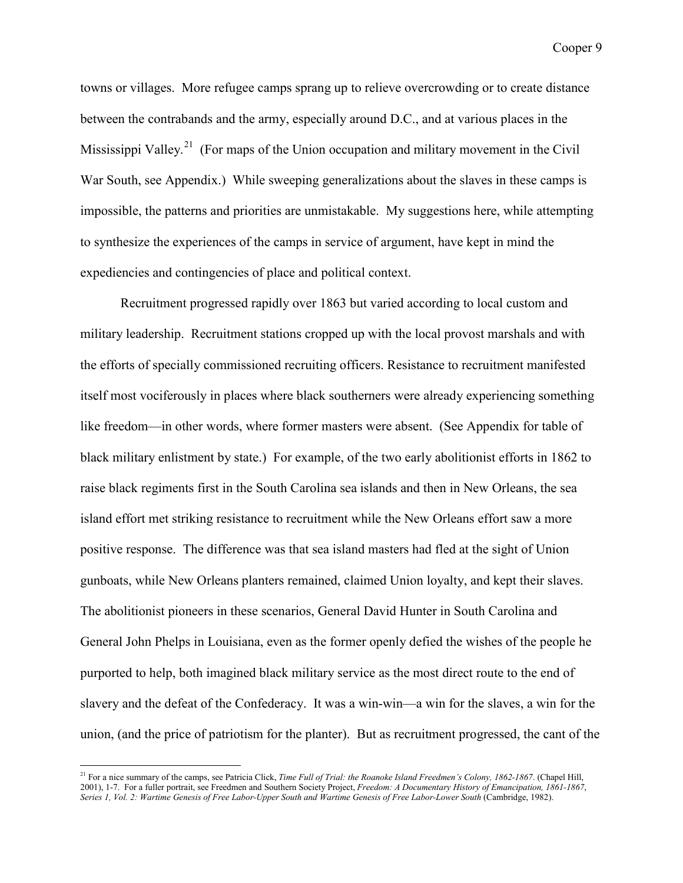towns or villages. More refugee camps sprang up to relieve overcrowding or to create distance between the contrabands and the army, especially around D.C., and at various places in the Mississippi Valley.<sup>[21](#page-9-0)</sup> (For maps of the Union occupation and military movement in the Civil War South, see Appendix.) While sweeping generalizations about the slaves in these camps is impossible, the patterns and priorities are unmistakable. My suggestions here, while attempting to synthesize the experiences of the camps in service of argument, have kept in mind the expediencies and contingencies of place and political context.

Recruitment progressed rapidly over 1863 but varied according to local custom and military leadership. Recruitment stations cropped up with the local provost marshals and with the efforts of specially commissioned recruiting officers. Resistance to recruitment manifested itself most vociferously in places where black southerners were already experiencing something like freedom—in other words, where former masters were absent. (See Appendix for table of black military enlistment by state.) For example, of the two early abolitionist efforts in 1862 to raise black regiments first in the South Carolina sea islands and then in New Orleans, the sea island effort met striking resistance to recruitment while the New Orleans effort saw a more positive response. The difference was that sea island masters had fled at the sight of Union gunboats, while New Orleans planters remained, claimed Union loyalty, and kept their slaves. The abolitionist pioneers in these scenarios, General David Hunter in South Carolina and General John Phelps in Louisiana, even as the former openly defied the wishes of the people he purported to help, both imagined black military service as the most direct route to the end of slavery and the defeat of the Confederacy. It was a win-win—a win for the slaves, a win for the union, (and the price of patriotism for the planter). But as recruitment progressed, the cant of the

<span id="page-9-0"></span><sup>&</sup>lt;sup>21</sup> For a nice summary of the camps, see Patricia Click, *Time Full of Trial: the Roanoke Island Freedmen's Colony, 1862-1867*. (Chapel Hill, 2001), 1-7. For a fuller portrait, see Freedmen and Southern Society Project, *Freedom: A Documentary History of Emancipation, 1861-1867*, *Series 1, Vol. 2: Wartime Genesis of Free Labor-Upper South and Wartime Genesis of Free Labor-Lower South* (Cambridge, 1982).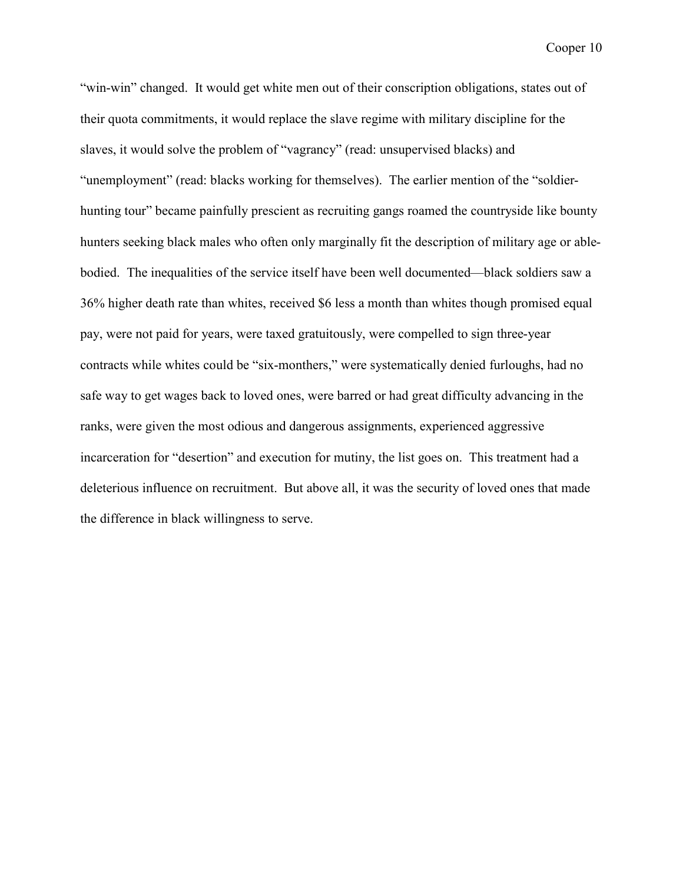"win-win" changed. It would get white men out of their conscription obligations, states out of their quota commitments, it would replace the slave regime with military discipline for the slaves, it would solve the problem of "vagrancy" (read: unsupervised blacks) and "unemployment" (read: blacks working for themselves). The earlier mention of the "soldierhunting tour" became painfully prescient as recruiting gangs roamed the countryside like bounty hunters seeking black males who often only marginally fit the description of military age or ablebodied. The inequalities of the service itself have been well documented—black soldiers saw a 36% higher death rate than whites, received \$6 less a month than whites though promised equal pay, were not paid for years, were taxed gratuitously, were compelled to sign three-year contracts while whites could be "six-monthers," were systematically denied furloughs, had no safe way to get wages back to loved ones, were barred or had great difficulty advancing in the ranks, were given the most odious and dangerous assignments, experienced aggressive incarceration for "desertion" and execution for mutiny, the list goes on. This treatment had a deleterious influence on recruitment. But above all, it was the security of loved ones that made the difference in black willingness to serve.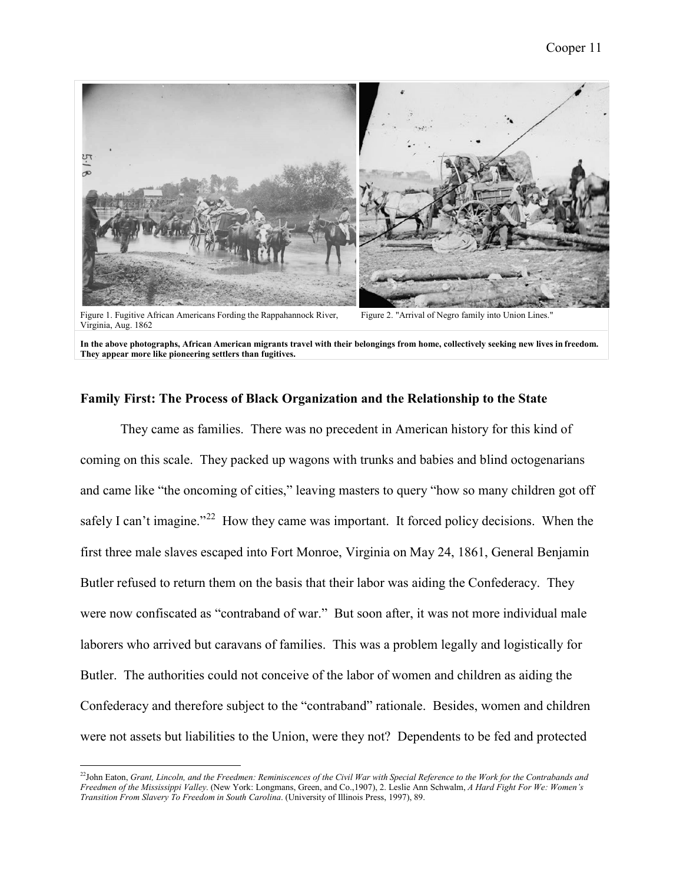

Figure 1. Fugitive African Americans Fording the Rappahannock River, Virginia, Aug. 1862

Figure 2. "Arrival of Negro family into Union Lines."

**In the above photographs, African American migrants travel with their belongings from home, collectively seeking new lives in freedom. They appear more like pioneering settlers than fugitives.** 

# **Family First: The Process of Black Organization and the Relationship to the State**

They came as families. There was no precedent in American history for this kind of coming on this scale. They packed up wagons with trunks and babies and blind octogenarians and came like "the oncoming of cities," leaving masters to query "how so many children got off safely I can't imagine."<sup>[22](#page-11-0)</sup> How they came was important. It forced policy decisions. When the first three male slaves escaped into Fort Monroe, Virginia on May 24, 1861, General Benjamin Butler refused to return them on the basis that their labor was aiding the Confederacy. They were now confiscated as "contraband of war." But soon after, it was not more individual male laborers who arrived but caravans of families. This was a problem legally and logistically for Butler. The authorities could not conceive of the labor of women and children as aiding the Confederacy and therefore subject to the "contraband" rationale. Besides, women and children were not assets but liabilities to the Union, were they not? Dependents to be fed and protected

<span id="page-11-0"></span> <sup>22</sup>John Eaton, *Grant, Lincoln, and the Freedmen: Reminiscences of the Civil War with Special Reference to the Work for the Contrabands and Freedmen of the Mississippi Valley*. (New York: Longmans, Green, and Co.,1907), 2. Leslie Ann Schwalm, *A Hard Fight For We: Women's Transition From Slavery To Freedom in South Carolina*. (University of Illinois Press, 1997), 89.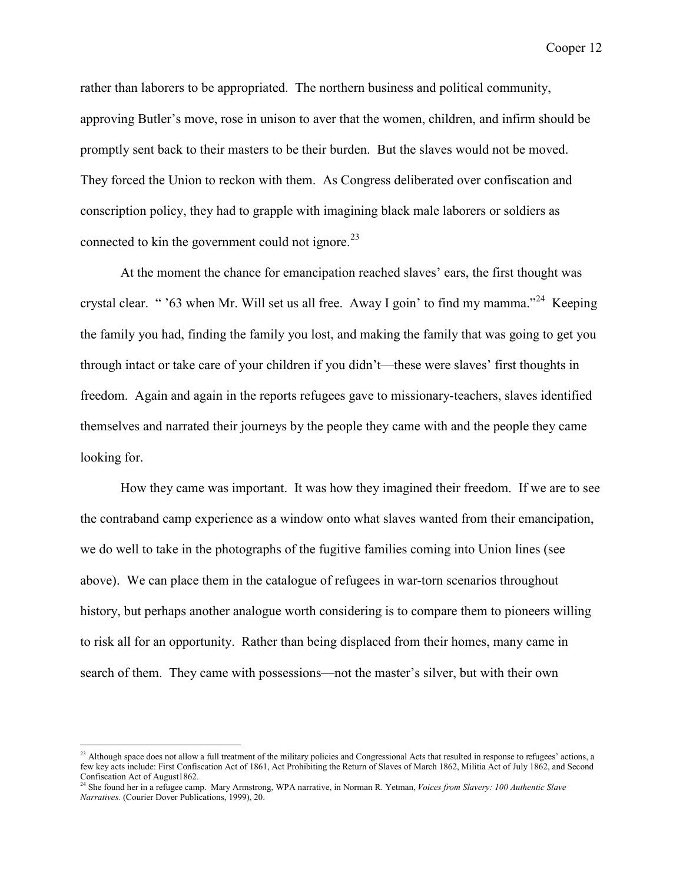rather than laborers to be appropriated. The northern business and political community, approving Butler's move, rose in unison to aver that the women, children, and infirm should be promptly sent back to their masters to be their burden. But the slaves would not be moved. They forced the Union to reckon with them. As Congress deliberated over confiscation and conscription policy, they had to grapple with imagining black male laborers or soldiers as connected to kin the government could not ignore.<sup>[23](#page-12-1)</sup>

At the moment the chance for emancipation reached slaves' ears, the first thought was crystal clear. " '63 when Mr. Will set us all free. Away I goin' to find my mamma."<sup>24</sup> Keeping the family you had, finding the family you lost, and making the family that was going to get you through intact or take care of your children if you didn't—these were slaves' first thoughts in freedom. Again and again in the reports refugees gave to missionary-teachers, slaves identified themselves and narrated their journeys by the people they came with and the people they came looking for.

How they came was important. It was how they imagined their freedom. If we are to see the contraband camp experience as a window onto what slaves wanted from their emancipation, we do well to take in the photographs of the fugitive families coming into Union lines (see above). We can place them in the catalogue of refugees in war-torn scenarios throughout history, but perhaps another analogue worth considering is to compare them to pioneers willing to risk all for an opportunity. Rather than being displaced from their homes, many came in search of them. They came with possessions—not the master's silver, but with their own

<span id="page-12-1"></span> $^{23}$  Although space does not allow a full treatment of the military policies and Congressional Acts that resulted in response to refugees' actions, a few key acts include: First Confiscation Act of 1861, Act Prohibiting the Return of Slaves of March 1862, Militia Act of July 1862, and Second Confiscation Act of August1862.

<span id="page-12-0"></span><sup>24</sup> She found her in a refugee camp. Mary Armstrong, WPA narrative, in Norman R. Yetman, *Voices from Slavery: 100 Authentic Slave Narratives.* (Courier Dover Publications, 1999), 20.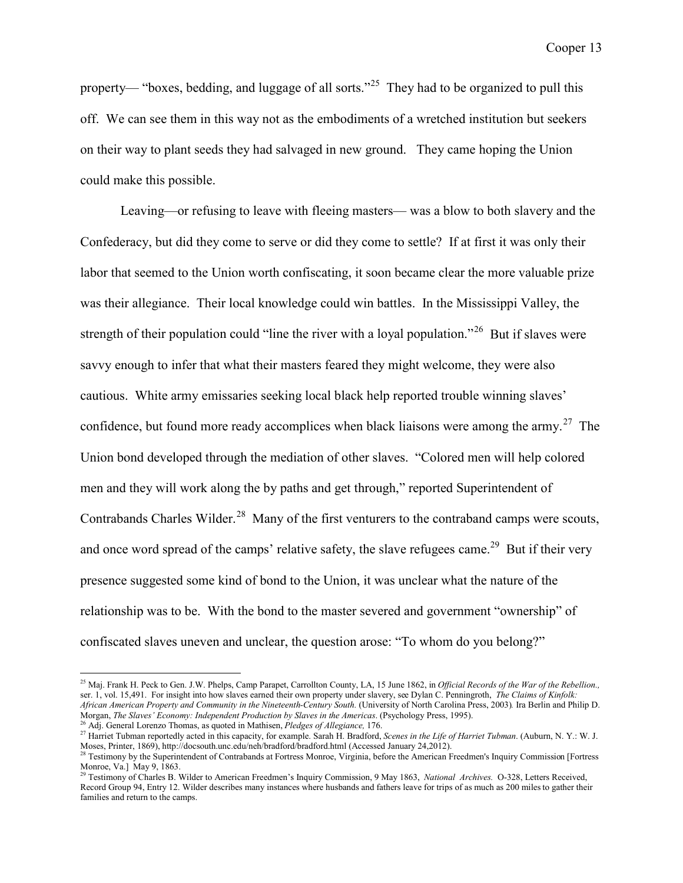property— "boxes, bedding, and luggage of all sorts."<sup>25</sup> They had to be organized to pull this off. We can see them in this way not as the embodiments of a wretched institution but seekers on their way to plant seeds they had salvaged in new ground. They came hoping the Union could make this possible.

Leaving—or refusing to leave with fleeing masters— was a blow to both slavery and the Confederacy, but did they come to serve or did they come to settle? If at first it was only their labor that seemed to the Union worth confiscating, it soon became clear the more valuable prize was their allegiance. Their local knowledge could win battles. In the Mississippi Valley, the strength of their population could "line the river with a loyal population."<sup>[26](#page-13-2)</sup> But if slaves were savvy enough to infer that what their masters feared they might welcome, they were also cautious. White army emissaries seeking local black help reported trouble winning slaves' confidence, but found more ready accomplices when black liaisons were among the army.<sup>[27](#page-13-3)</sup> The Union bond developed through the mediation of other slaves. "Colored men will help colored men and they will work along the by paths and get through," reported Superintendent of Contrabands Charles Wilder.<sup>[28](#page-13-4)</sup> Many of the first venturers to the contraband camps were scouts, and once word spread of the camps' relative safety, the slave refugees came.<sup>29</sup> But if their very presence suggested some kind of bond to the Union, it was unclear what the nature of the relationship was to be. With the bond to the master severed and government "ownership" of confiscated slaves uneven and unclear, the question arose: "To whom do you belong?"

<span id="page-13-1"></span> <sup>25</sup> Maj. Frank H. Peck to Gen. J.W. Phelps, Camp Parapet, Carrollton County, LA, 15 June 1862, in *Official Records of the War of the Rebellion.,*  ser. 1, vol. 15,491. For insight into how slaves earned their own property under slavery, see Dylan C. Penningroth, *The Claims of Kinfolk: African American Property and Community in the Nineteenth-Century South.* (University of North Carolina Press, 2003)*.* Ira Berlin and Philip D. Morgan, *The Slaves' Economy: Independent Production by Slaves in the Americas*. (Psychology Press, 1995). <sup>26</sup> Adj. General Lorenzo Thomas, as quoted in Mathisen, *Pledges of Allegiance,* 176.

<span id="page-13-3"></span><span id="page-13-2"></span><sup>27</sup> Harriet Tubman reportedly acted in this capacity, for example. Sarah H. Bradford, *Scenes in the Life of Harriet Tubman*. (Auburn, N. Y.: W. J.

Moses, Printer, 1869), http://docsouth.unc.edu/neh/bradford/bradford.html (Accessed January 24,2012).

<span id="page-13-4"></span><sup>&</sup>lt;sup>28</sup> Testimony by the Superintendent of Contrabands at Fortress Monroe, Virginia, before the American Freedmen's Inquiry Commission [Fortress Monroe, Va.] May 9, 1863.

<span id="page-13-0"></span><sup>29</sup> Testimony of Charles B. Wilder to American Freedmen's Inquiry Commission, 9 May 1863, *National Archives.* O-328, Letters Received, Record Group 94, Entry 12. Wilder describes many instances where husbands and fathers leave for trips of as much as 200 milesto gather their families and return to the camps.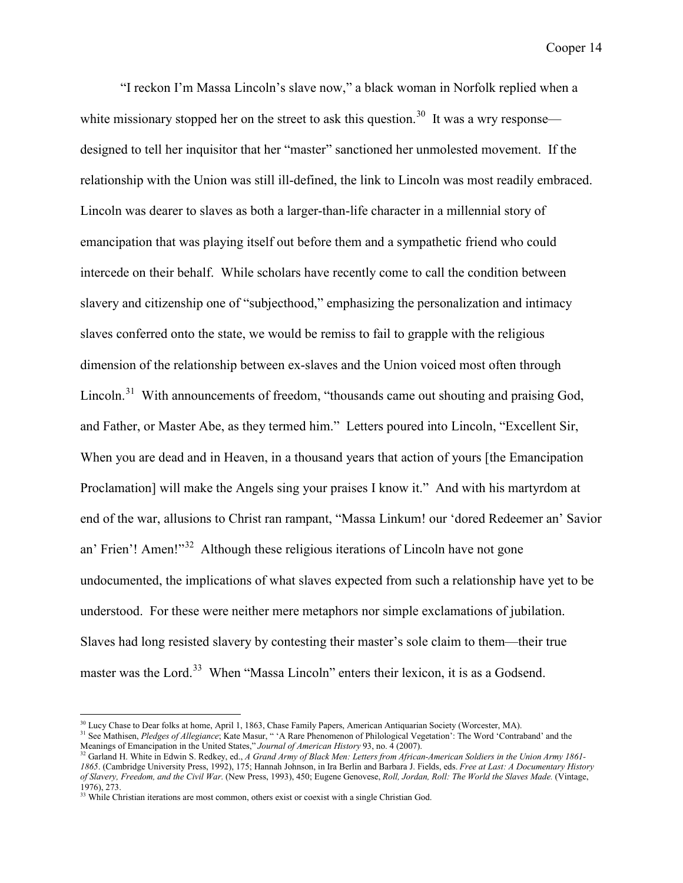"I reckon I'm Massa Lincoln's slave now," a black woman in Norfolk replied when a white missionary stopped her on the street to ask this question.<sup>30</sup> It was a wry response designed to tell her inquisitor that her "master" sanctioned her unmolested movement. If the relationship with the Union was still ill-defined, the link to Lincoln was most readily embraced. Lincoln was dearer to slaves as both a larger-than-life character in a millennial story of emancipation that was playing itself out before them and a sympathetic friend who could intercede on their behalf. While scholars have recently come to call the condition between slavery and citizenship one of "subjecthood," emphasizing the personalization and intimacy slaves conferred onto the state, we would be remiss to fail to grapple with the religious dimension of the relationship between ex-slaves and the Union voiced most often through Lincoln.<sup>31</sup> With announcements of freedom, "thousands came out shouting and praising God, and Father, or Master Abe, as they termed him." Letters poured into Lincoln, "Excellent Sir, When you are dead and in Heaven, in a thousand years that action of yours [the Emancipation Proclamation] will make the Angels sing your praises I know it." And with his martyrdom at end of the war, allusions to Christ ran rampant, "Massa Linkum! our 'dored Redeemer an' Savior an' Frien'! Amen!"<sup>[32](#page-14-3)</sup> Although these religious iterations of Lincoln have not gone undocumented, the implications of what slaves expected from such a relationship have yet to be understood. For these were neither mere metaphors nor simple exclamations of jubilation. Slaves had long resisted slavery by contesting their master's sole claim to them—their true master was the Lord.<sup>[33](#page-14-0)</sup> When "Massa Lincoln" enters their lexicon, it is as a Godsend.

<span id="page-14-1"></span><sup>&</sup>lt;sup>30</sup> Lucy Chase to Dear folks at home, April 1, 1863, Chase Family Papers, American Antiquarian Society (Worcester, MA).

<span id="page-14-2"></span><sup>31</sup> See Mathisen, *Pledges of Allegiance*; Kate Masur, " 'A Rare Phenomenon of Philological Vegetation': The Word 'Contraband' and the Meanings of Emancipation in the United States," *Journal of American History* 93, no. 4 (2007).

<span id="page-14-3"></span><sup>&</sup>lt;sup>32</sup> Garland H. White in Edwin S. Redkey, ed., *A Grand Army of Black Men: Letters from African-American Soldiers in the Union Army 1861-1865*. (Cambridge University Press, 1992), 175; Hannah Johnson, in Ira Berlin and Barbara J. Fields, eds. *Free at Last: A Documentary History of Slavery, Freedom, and the Civil War*. (New Press, 1993), 450; Eugene Genovese, *Roll, Jordan, Roll: The World the Slaves Made.* (Vintage, 1976), 273.

<span id="page-14-0"></span><sup>&</sup>lt;sup>33</sup> While Christian iterations are most common, others exist or coexist with a single Christian God.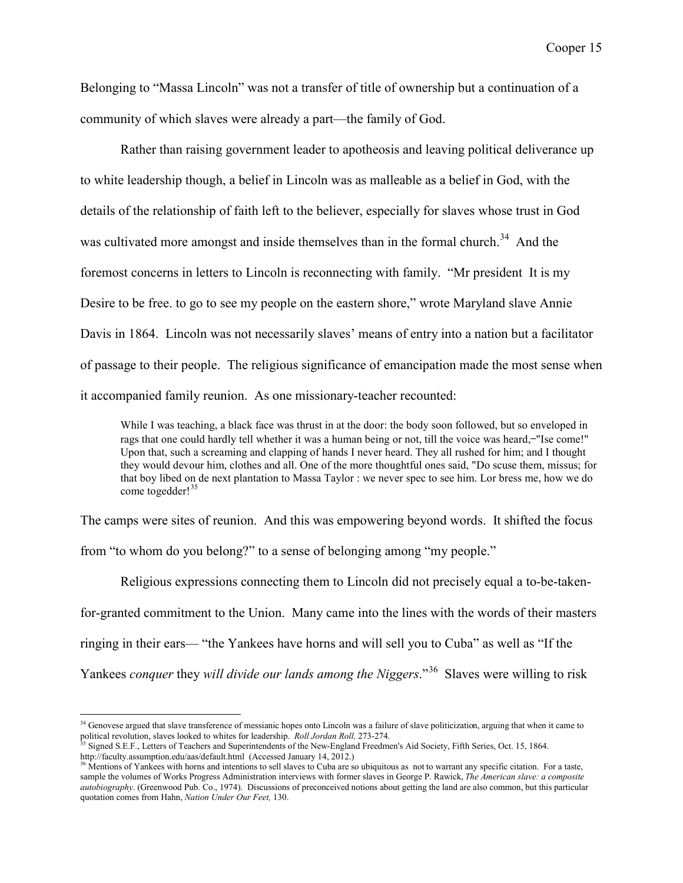Belonging to "Massa Lincoln" was not a transfer of title of ownership but a continuation of a community of which slaves were already a part—the family of God.

Rather than raising government leader to apotheosis and leaving political deliverance up to white leadership though, a belief in Lincoln was as malleable as a belief in God, with the details of the relationship of faith left to the believer, especially for slaves whose trust in God was cultivated more amongst and inside themselves than in the formal church.<sup>34</sup> And the foremost concerns in letters to Lincoln is reconnecting with family. "Mr president It is my Desire to be free. to go to see my people on the eastern shore," wrote Maryland slave Annie Davis in 1864. Lincoln was not necessarily slaves' means of entry into a nation but a facilitator of passage to their people. The religious significance of emancipation made the most sense when it accompanied family reunion. As one missionary-teacher recounted:

While I was teaching, a black face was thrust in at the door: the body soon followed, but so enveloped in rags that one could hardly tell whether it was a human being or not, till the voice was heard,—"Ise come!" Upon that, such a screaming and clapping of hands I never heard. They all rushed for him; and I thought they would devour him, clothes and all. One of the more thoughtful ones said, "Do scuse them, missus; for that boy libed on de next plantation to Massa Taylor : we never spec to see him. Lor bress me, how we do come togedder!<sup>[35](#page-15-2)</sup>

The camps were sites of reunion. And this was empowering beyond words. It shifted the focus from "to whom do you belong?" to a sense of belonging among "my people."

Religious expressions connecting them to Lincoln did not precisely equal a to-be-takenfor-granted commitment to the Union. Many came into the lines with the words of their masters ringing in their ears— "the Yankees have horns and will sell you to Cuba" as well as "If the Yankees *conquer* they *will divide our lands among the Niggers*."<sup>36</sup> Slaves were willing to risk

<span id="page-15-1"></span><sup>&</sup>lt;sup>34</sup> Genovese argued that slave transference of messianic hopes onto Lincoln was a failure of slave politicization, arguing that when it came to political revolution, slaves looked to whites for leadership. *Roll Jordan Roll,* 273-274.

<span id="page-15-2"></span><sup>35</sup> Signed S.E.F., Letters of Teachers and Superintendents of the New-England Freedmen's Aid Society, Fifth Series, Oct. 15, 1864. http://faculty.assumption.edu/aas/default.html (Accessed January 14, 2012.)

<span id="page-15-0"></span><sup>&</sup>lt;sup>36</sup> Mentions of Yankees with horns and intentions to sell slaves to Cuba are so ubiquitous as not to warrant any specific citation. For a taste, sample the volumes of Works Progress Administration interviews with former slaves in George P. Rawick, *The American slave: a composite autobiography*. (Greenwood Pub. Co., 1974). Discussions of preconceived notions about getting the land are also common, but this particular quotation comes from Hahn, *Nation Under Our Feet,* 130.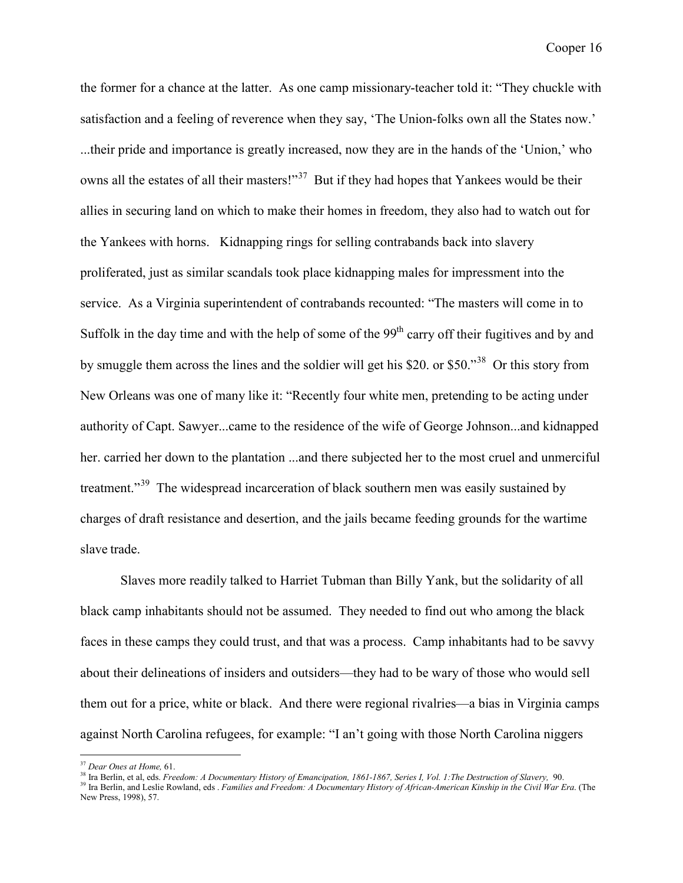the former for a chance at the latter. As one camp missionary-teacher told it: "They chuckle with satisfaction and a feeling of reverence when they say, 'The Union-folks own all the States now.' ...their pride and importance is greatly increased, now they are in the hands of the 'Union,' who owns all the estates of all their masters!"<sup>37</sup> But if they had hopes that Yankees would be their allies in securing land on which to make their homes in freedom, they also had to watch out for the Yankees with horns. Kidnapping rings for selling contrabands back into slavery proliferated, just as similar scandals took place kidnapping males for impressment into the service. As a Virginia superintendent of contrabands recounted: "The masters will come in to Suffolk in the day time and with the help of some of the  $99<sup>th</sup>$  carry off their fugitives and by and by smuggle them across the lines and the soldier will get his \$20. or \$50."[38](#page-16-2) Or this story from New Orleans was one of many like it: "Recently four white men, pretending to be acting under authority of Capt. Sawyer...came to the residence of the wife of George Johnson...and kidnapped her. carried her down to the plantation ...and there subjected her to the most cruel and unmerciful treatment."<sup>[39](#page-16-0)</sup> The widespread incarceration of black southern men was easily sustained by charges of draft resistance and desertion, and the jails became feeding grounds for the wartime slave trade.

Slaves more readily talked to Harriet Tubman than Billy Yank, but the solidarity of all black camp inhabitants should not be assumed. They needed to find out who among the black faces in these camps they could trust, and that was a process. Camp inhabitants had to be savvy about their delineations of insiders and outsiders—they had to be wary of those who would sell them out for a price, white or black. And there were regional rivalries—a bias in Virginia camps against North Carolina refugees, for example: "I an't going with those North Carolina niggers

<span id="page-16-1"></span> <sup>37</sup> *Dear Ones at Home,* 61.

<sup>38</sup> Ira Berlin, et al, eds. *Freedom: A Documentary History of Emancipation, 1861-1867, Series I, Vol. 1:The Destruction of Slavery,* 90.

<span id="page-16-2"></span><span id="page-16-0"></span><sup>&</sup>lt;sup>39</sup> Ira Berlin, et al, east *I recumming Structures* Theory of *African-American Kinship in the Civil War Era*. (The New Press, 1998), 57.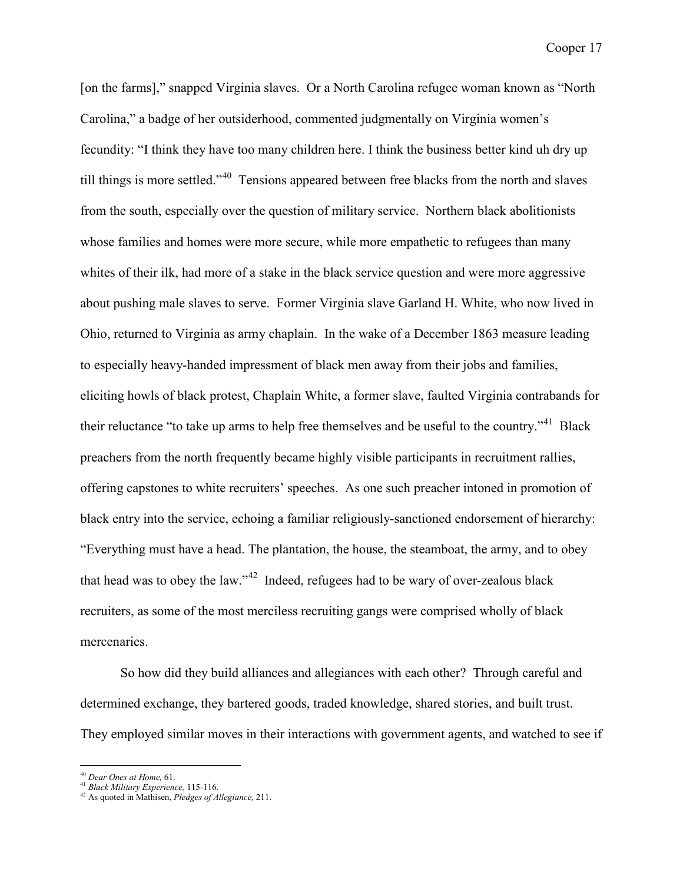[on the farms]," snapped Virginia slaves. Or a North Carolina refugee woman known as "North Carolina," a badge of her outsiderhood, commented judgmentally on Virginia women's fecundity: "I think they have too many children here. I think the business better kind uh dry up till things is more settled."<sup>40</sup> Tensions appeared between free blacks from the north and slaves from the south, especially over the question of military service. Northern black abolitionists whose families and homes were more secure, while more empathetic to refugees than many whites of their ilk, had more of a stake in the black service question and were more aggressive about pushing male slaves to serve. Former Virginia slave Garland H. White, who now lived in Ohio, returned to Virginia as army chaplain. In the wake of a December 1863 measure leading to especially heavy-handed impressment of black men away from their jobs and families, eliciting howls of black protest, Chaplain White, a former slave, faulted Virginia contrabands for their reluctance "to take up arms to help free themselves and be useful to the country."[41](#page-17-2) Black preachers from the north frequently became highly visible participants in recruitment rallies, offering capstones to white recruiters' speeches. As one such preacher intoned in promotion of black entry into the service, echoing a familiar religiously-sanctioned endorsement of hierarchy: "Everything must have a head. The plantation, the house, the steamboat, the army, and to obey that head was to obey the law."[42](#page-17-0) Indeed, refugees had to be wary of over-zealous black recruiters, as some of the most merciless recruiting gangs were comprised wholly of black mercenaries.

So how did they build alliances and allegiances with each other? Through careful and determined exchange, they bartered goods, traded knowledge, shared stories, and built trust. They employed similar moves in their interactions with government agents, and watched to see if

 <sup>40</sup> *Dear Ones at Home,* 61.

<span id="page-17-2"></span><span id="page-17-1"></span><sup>41</sup> *Black Military Experience,* 115-116.

<span id="page-17-0"></span><sup>42</sup> As quoted in Mathisen, *Pledges of Allegiance,* 211.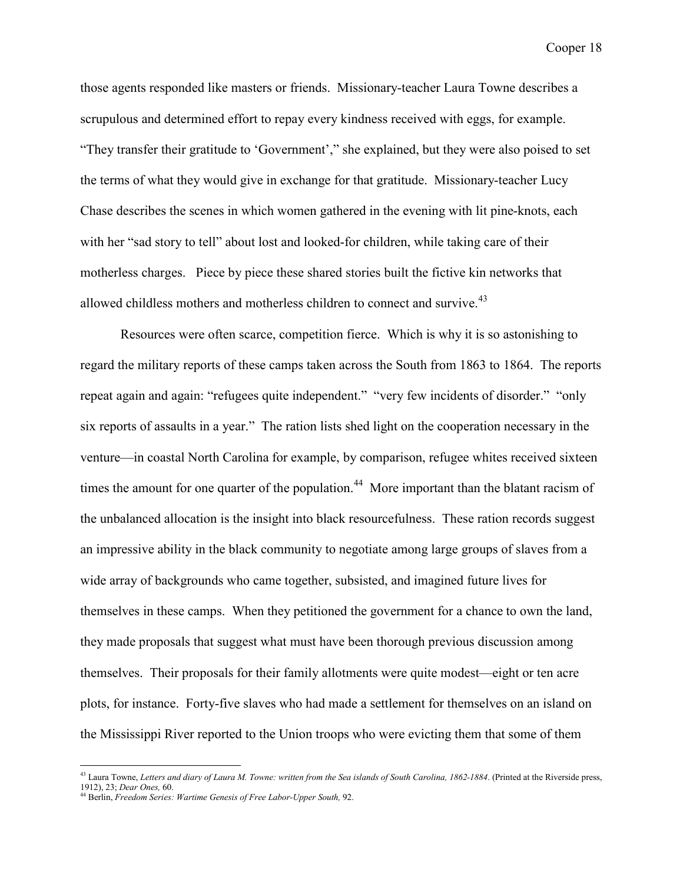those agents responded like masters or friends. Missionary-teacher Laura Towne describes a scrupulous and determined effort to repay every kindness received with eggs, for example. "They transfer their gratitude to 'Government'," she explained, but they were also poised to set the terms of what they would give in exchange for that gratitude. Missionary-teacher Lucy Chase describes the scenes in which women gathered in the evening with lit pine-knots, each with her "sad story to tell" about lost and looked-for children, while taking care of their motherless charges. Piece by piece these shared stories built the fictive kin networks that allowed childless mothers and motherless children to connect and survive.  $43$ 

Resources were often scarce, competition fierce. Which is why it is so astonishing to regard the military reports of these camps taken across the South from 1863 to 1864. The reports repeat again and again: "refugees quite independent." "very few incidents of disorder." "only six reports of assaults in a year." The ration lists shed light on the cooperation necessary in the venture—in coastal North Carolina for example, by comparison, refugee whites received sixteen times the amount for one quarter of the population.<sup>44</sup> More important than the blatant racism of the unbalanced allocation is the insight into black resourcefulness. These ration records suggest an impressive ability in the black community to negotiate among large groups of slaves from a wide array of backgrounds who came together, subsisted, and imagined future lives for themselves in these camps. When they petitioned the government for a chance to own the land, they made proposals that suggest what must have been thorough previous discussion among themselves. Their proposals for their family allotments were quite modest—eight or ten acre plots, for instance. Forty-five slaves who had made a settlement for themselves on an island on the Mississippi River reported to the Union troops who were evicting them that some of them

<span id="page-18-1"></span><sup>&</sup>lt;sup>43</sup> Laura Towne, *Letters and diary of Laura M. Towne: written from the Sea islands of South Carolina, 1862-1884. (Printed at the Riverside press,* 1912), 23; *Dear Ones,* 60.

<span id="page-18-0"></span><sup>44</sup> Berlin, *Freedom Series: Wartime Genesis of Free Labor-Upper South,* 92.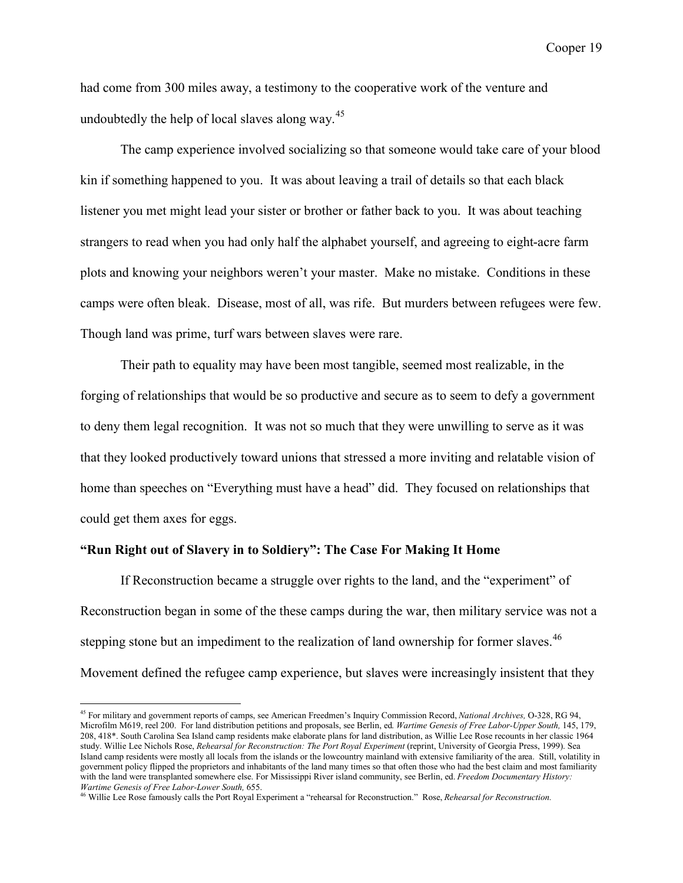had come from 300 miles away, a testimony to the cooperative work of the venture and undoubtedly the help of local slaves along way.<sup>[45](#page-19-1)</sup>

The camp experience involved socializing so that someone would take care of your blood kin if something happened to you. It was about leaving a trail of details so that each black listener you met might lead your sister or brother or father back to you. It was about teaching strangers to read when you had only half the alphabet yourself, and agreeing to eight-acre farm plots and knowing your neighbors weren't your master. Make no mistake. Conditions in these camps were often bleak. Disease, most of all, was rife. But murders between refugees were few. Though land was prime, turf wars between slaves were rare.

Their path to equality may have been most tangible, seemed most realizable, in the forging of relationships that would be so productive and secure as to seem to defy a government to deny them legal recognition. It was not so much that they were unwilling to serve as it was that they looked productively toward unions that stressed a more inviting and relatable vision of home than speeches on "Everything must have a head" did. They focused on relationships that could get them axes for eggs.

### **"Run Right out of Slavery in to Soldiery": The Case For Making It Home**

If Reconstruction became a struggle over rights to the land, and the "experiment" of Reconstruction began in some of the these camps during the war, then military service was not a stepping stone but an impediment to the realization of land ownership for former slaves.<sup>46</sup> Movement defined the refugee camp experience, but slaves were increasingly insistent that they

<span id="page-19-1"></span> <sup>45</sup> For military and government reports of camps, see American Freedmen's Inquiry Commission Record, *National Archives,* O-328, RG 94, Microfilm M619, reel 200. For land distribution petitions and proposals, see Berlin, ed. *Wartime Genesis of Free Labor-Upper South,* 145, 179, 208, 418\*. South Carolina Sea Island camp residents make elaborate plans for land distribution, as Willie Lee Rose recounts in her classic 1964 study. Willie Lee Nichols Rose, *Rehearsal for Reconstruction: The Port Royal Experiment* (reprint, University of Georgia Press, 1999). Sea Island camp residents were mostly all locals from the islands or the lowcountry mainland with extensive familiarity of the area. Still, volatility in government policy flipped the proprietors and inhabitants of the land many times so that often those who had the best claim and most familiarity with the land were transplanted somewhere else. For Mississippi River island community, see Berlin, ed. *Freedom Documentary History: Wartime Genesis of Free Labor-Lower South,* 655.

<span id="page-19-0"></span><sup>46</sup> Willie Lee Rose famously calls the Port Royal Experiment a "rehearsal for Reconstruction." Rose, *Rehearsal for Reconstruction.*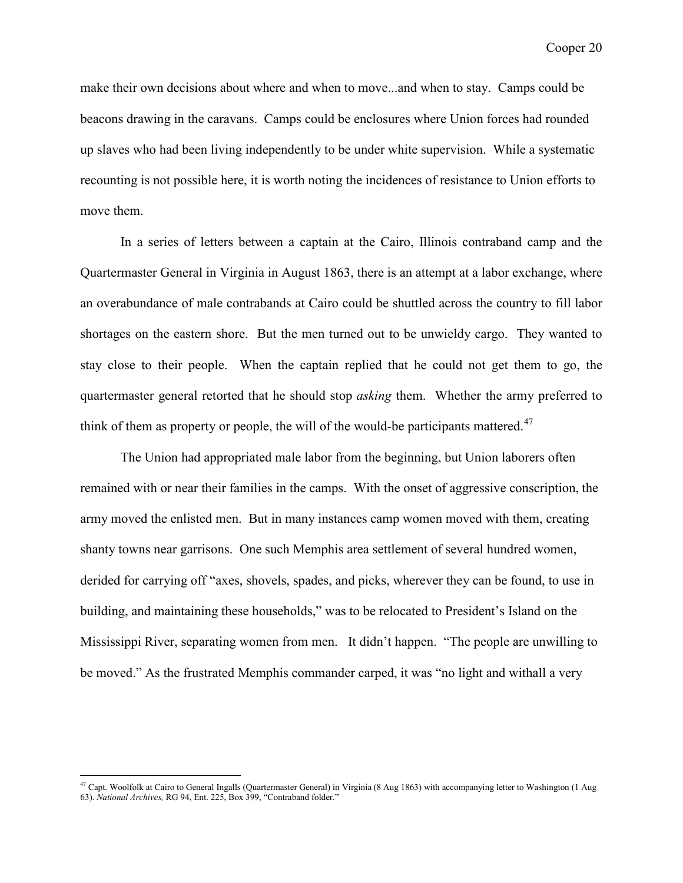make their own decisions about where and when to move...and when to stay. Camps could be beacons drawing in the caravans. Camps could be enclosures where Union forces had rounded up slaves who had been living independently to be under white supervision. While a systematic recounting is not possible here, it is worth noting the incidences of resistance to Union efforts to move them.

In a series of letters between a captain at the Cairo, Illinois contraband camp and the Quartermaster General in Virginia in August 1863, there is an attempt at a labor exchange, where an overabundance of male contrabands at Cairo could be shuttled across the country to fill labor shortages on the eastern shore. But the men turned out to be unwieldy cargo. They wanted to stay close to their people. When the captain replied that he could not get them to go, the quartermaster general retorted that he should stop *asking* them. Whether the army preferred to think of them as property or people, the will of the would-be participants mattered. $47$ 

The Union had appropriated male labor from the beginning, but Union laborers often remained with or near their families in the camps. With the onset of aggressive conscription, the army moved the enlisted men. But in many instances camp women moved with them, creating shanty towns near garrisons. One such Memphis area settlement of several hundred women, derided for carrying off "axes, shovels, spades, and picks, wherever they can be found, to use in building, and maintaining these households," was to be relocated to President's Island on the Mississippi River, separating women from men. It didn't happen. "The people are unwilling to be moved." As the frustrated Memphis commander carped, it was "no light and withall a very

<span id="page-20-0"></span><sup>&</sup>lt;sup>47</sup> Capt. Woolfolk at Cairo to General Ingalls (Quartermaster General) in Virginia (8 Aug 1863) with accompanying letter to Washington (1 Aug 63). *National Archives,* RG 94, Ent. 225, Box 399, "Contraband folder."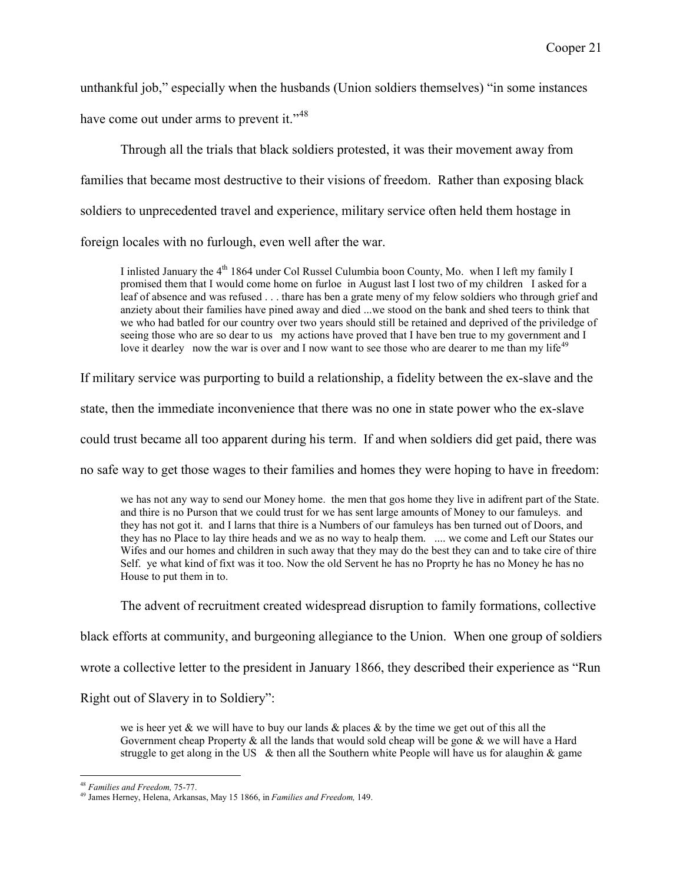unthankful job," especially when the husbands (Union soldiers themselves) "in some instances have come out under arms to prevent it."<sup>[48](#page-21-1)</sup>

Through all the trials that black soldiers protested, it was their movement away from families that became most destructive to their visions of freedom. Rather than exposing black soldiers to unprecedented travel and experience, military service often held them hostage in foreign locales with no furlough, even well after the war.

I inlisted January the  $4<sup>th</sup>$  1864 under Col Russel Culumbia boon County, Mo. when I left my family I promised them that I would come home on furloe in August last I lost two of my children I asked for a leaf of absence and was refused . . . thare has ben a grate meny of my felow soldiers who through grief and anziety about their families have pined away and died ...we stood on the bank and shed teers to think that we who had batled for our country over two years should still be retained and deprived of the priviledge of seeing those who are so dear to us my actions have proved that I have ben true to my government and I love it dearley now the war is over and I now want to see those who are dearer to me than my life<sup>49</sup>

If military service was purporting to build a relationship, a fidelity between the ex-slave and the

state, then the immediate inconvenience that there was no one in state power who the ex-slave

could trust became all too apparent during his term. If and when soldiers did get paid, there was

no safe way to get those wages to their families and homes they were hoping to have in freedom:

we has not any way to send our Money home. the men that gos home they live in adifrent part of the State. and thire is no Purson that we could trust for we has sent large amounts of Money to our famuleys. and they has not got it. and I larns that thire is a Numbers of our famuleys has ben turned out of Doors, and they has no Place to lay thire heads and we as no way to healp them. .... we come and Left our States our Wifes and our homes and children in such away that they may do the best they can and to take cire of thire Self. ye what kind of fixt was it too. Now the old Servent he has no Proprty he has no Money he has no House to put them in to.

The advent of recruitment created widespread disruption to family formations, collective

black efforts at community, and burgeoning allegiance to the Union. When one group of soldiers

wrote a collective letter to the president in January 1866, they described their experience as "Run

Right out of Slavery in to Soldiery":

we is heer yet  $\&$  we will have to buy our lands  $\&$  places  $\&$  by the time we get out of this all the Government cheap Property  $\&$  all the lands that would sold cheap will be gone  $\&$  we will have a Hard struggle to get along in the US  $\&$  then all the Southern white People will have us for alaughin  $&$  game

 <sup>48</sup> *Families and Freedom,* 75-77.

<span id="page-21-1"></span><span id="page-21-0"></span><sup>49</sup> James Herney, Helena, Arkansas, May 15 1866, in *Families and Freedom,* 149.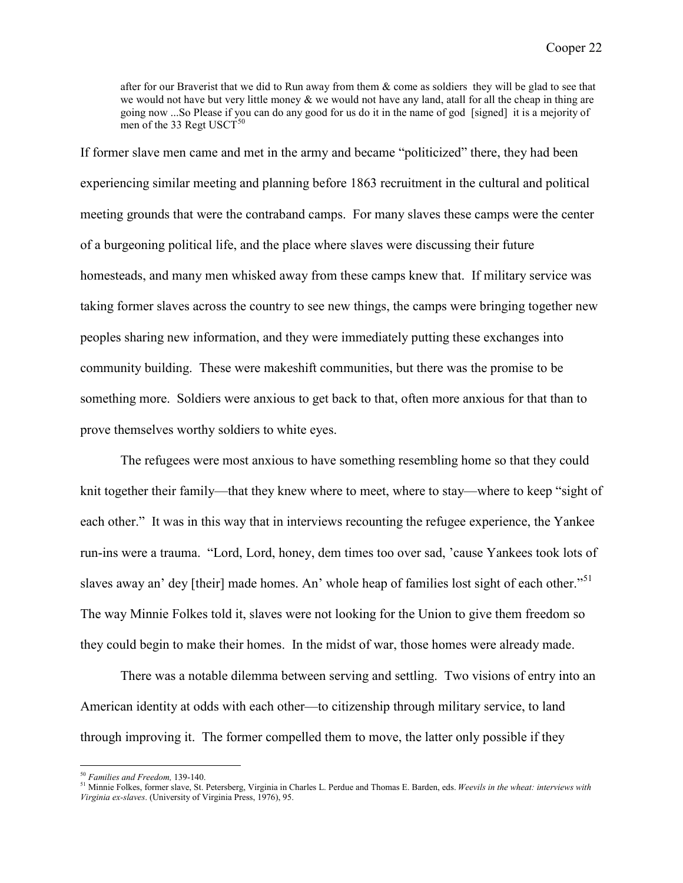after for our Braverist that we did to Run away from them  $\&$  come as soldiers they will be glad to see that we would not have but very little money & we would not have any land, atall for all the cheap in thing are going now ...So Please if you can do any good for us do it in the name of god [signed] it is a mejority of men of the 33 Regt USCT $50$ 

If former slave men came and met in the army and became "politicized" there, they had been experiencing similar meeting and planning before 1863 recruitment in the cultural and political meeting grounds that were the contraband camps. For many slaves these camps were the center of a burgeoning political life, and the place where slaves were discussing their future homesteads, and many men whisked away from these camps knew that. If military service was taking former slaves across the country to see new things, the camps were bringing together new peoples sharing new information, and they were immediately putting these exchanges into community building. These were makeshift communities, but there was the promise to be something more. Soldiers were anxious to get back to that, often more anxious for that than to prove themselves worthy soldiers to white eyes.

The refugees were most anxious to have something resembling home so that they could knit together their family—that they knew where to meet, where to stay—where to keep "sight of each other." It was in this way that in interviews recounting the refugee experience, the Yankee run-ins were a trauma. "Lord, Lord, honey, dem times too over sad, 'cause Yankees took lots of slaves away an' dey [their] made homes. An' whole heap of families lost sight of each other."<sup>[51](#page-22-0)</sup> The way Minnie Folkes told it, slaves were not looking for the Union to give them freedom so they could begin to make their homes. In the midst of war, those homes were already made.

There was a notable dilemma between serving and settling. Two visions of entry into an American identity at odds with each other—to citizenship through military service, to land through improving it. The former compelled them to move, the latter only possible if they

 <sup>50</sup> *Families and Freedom,* 139-140.

<span id="page-22-1"></span><span id="page-22-0"></span><sup>51</sup> Minnie Folkes, former slave, St. Petersberg, Virginia in Charles L. Perdue and Thomas E. Barden, eds. *Weevils in the wheat: interviews with Virginia ex-slaves*. (University of Virginia Press, 1976), 95.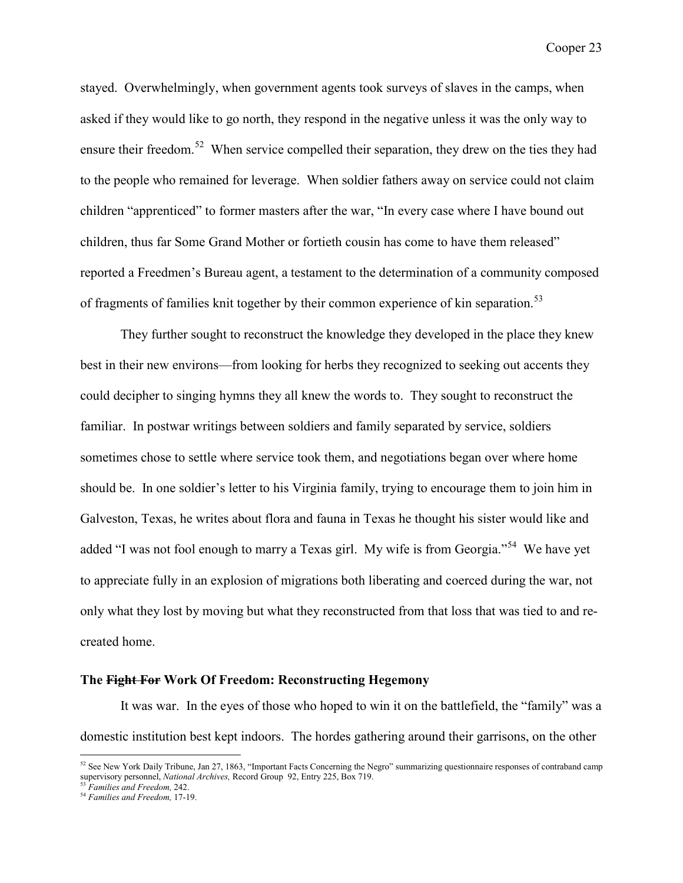stayed. Overwhelmingly, when government agents took surveys of slaves in the camps, when asked if they would like to go north, they respond in the negative unless it was the only way to ensure their freedom.<sup>[52](#page-23-1)</sup> When service compelled their separation, they drew on the ties they had to the people who remained for leverage. When soldier fathers away on service could not claim children "apprenticed" to former masters after the war, "In every case where I have bound out children, thus far Some Grand Mother or fortieth cousin has come to have them released" reported a Freedmen's Bureau agent, a testament to the determination of a community composed of fragments of families knit together by their common experience of kin separation.<sup>[53](#page-23-2)</sup>

They further sought to reconstruct the knowledge they developed in the place they knew best in their new environs—from looking for herbs they recognized to seeking out accents they could decipher to singing hymns they all knew the words to. They sought to reconstruct the familiar. In postwar writings between soldiers and family separated by service, soldiers sometimes chose to settle where service took them, and negotiations began over where home should be. In one soldier's letter to his Virginia family, trying to encourage them to join him in Galveston, Texas, he writes about flora and fauna in Texas he thought his sister would like and added "I was not fool enough to marry a Texas girl. My wife is from Georgia."<sup>[54](#page-23-0)</sup> We have yet to appreciate fully in an explosion of migrations both liberating and coerced during the war, not only what they lost by moving but what they reconstructed from that loss that was tied to and recreated home.

#### **The Fight For Work Of Freedom: Reconstructing Hegemony**

It was war. In the eyes of those who hoped to win it on the battlefield, the "family" was a domestic institution best kept indoors. The hordes gathering around their garrisons, on the other

<span id="page-23-1"></span> $52$  See New York Daily Tribune, Jan 27, 1863, "Important Facts Concerning the Negro" summarizing questionnaire responses of contraband camp supervisory personnel, *National Archives*, Record Group 92, Entry 225, Box 719.

<sup>53</sup> *Families and Freedom,* 242.

<span id="page-23-2"></span><span id="page-23-0"></span><sup>54</sup> *Families and Freedom,* 17-19.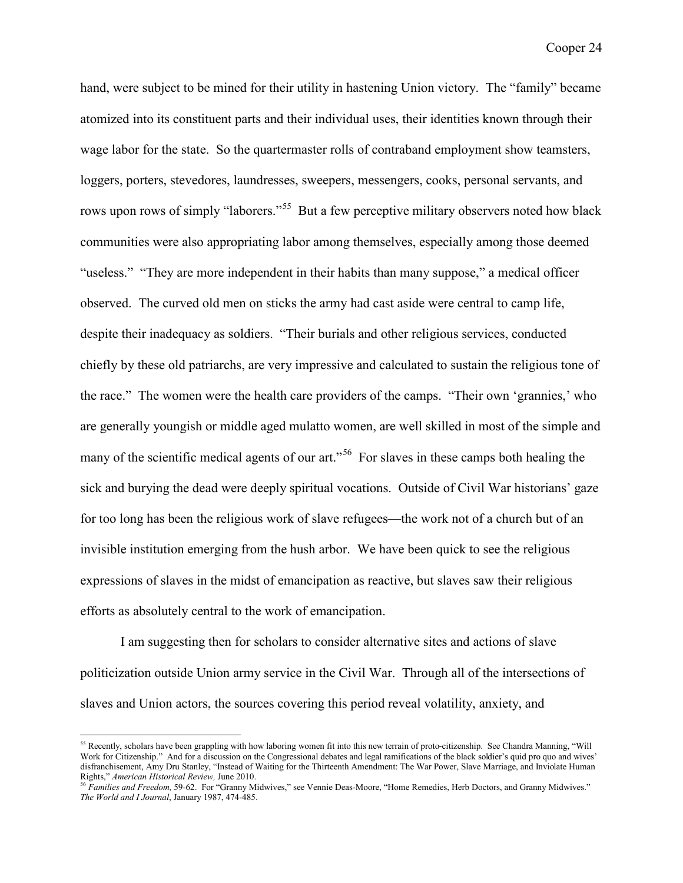hand, were subject to be mined for their utility in hastening Union victory. The "family" became atomized into its constituent parts and their individual uses, their identities known through their wage labor for the state. So the quartermaster rolls of contraband employment show teamsters, loggers, porters, stevedores, laundresses, sweepers, messengers, cooks, personal servants, and rows upon rows of simply "laborers."<sup>[55](#page-24-1)</sup> But a few perceptive military observers noted how black communities were also appropriating labor among themselves, especially among those deemed "useless." "They are more independent in their habits than many suppose," a medical officer observed. The curved old men on sticks the army had cast aside were central to camp life, despite their inadequacy as soldiers. "Their burials and other religious services, conducted chiefly by these old patriarchs, are very impressive and calculated to sustain the religious tone of the race." The women were the health care providers of the camps. "Their own 'grannies,' who are generally youngish or middle aged mulatto women, are well skilled in most of the simple and many of the scientific medical agents of our art.<sup>56</sup> For slaves in these camps both healing the sick and burying the dead were deeply spiritual vocations. Outside of Civil War historians' gaze for too long has been the religious work of slave refugees—the work not of a church but of an invisible institution emerging from the hush arbor. We have been quick to see the religious expressions of slaves in the midst of emancipation as reactive, but slaves saw their religious efforts as absolutely central to the work of emancipation.

I am suggesting then for scholars to consider alternative sites and actions of slave politicization outside Union army service in the Civil War. Through all of the intersections of slaves and Union actors, the sources covering this period reveal volatility, anxiety, and

<span id="page-24-1"></span><sup>&</sup>lt;sup>55</sup> Recently, scholars have been grappling with how laboring women fit into this new terrain of proto-citizenship. See Chandra Manning, "Will Work for Citizenship." And for a discussion on the Congressional debates and legal ramifications of the black soldier's quid pro quo and wives' disfranchisement, Amy Dru Stanley, "Instead of Waiting for the Thirteenth Amendment: The War Power, Slave Marriage, and Inviolate Human Rights," *American Historical Review,* June 2010.

<span id="page-24-0"></span><sup>56</sup> *Families and Freedom,* 59-62. For "Granny Midwives," see Vennie Deas-Moore, "Home Remedies, Herb Doctors, and Granny Midwives." *The World and I Journal*, January 1987, 474-485.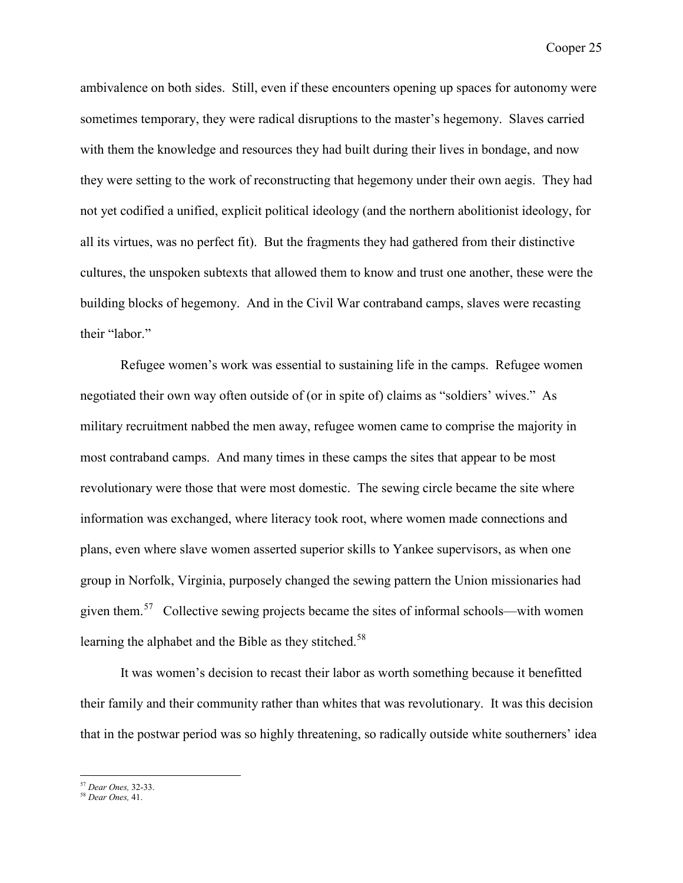ambivalence on both sides. Still, even if these encounters opening up spaces for autonomy were sometimes temporary, they were radical disruptions to the master's hegemony. Slaves carried with them the knowledge and resources they had built during their lives in bondage, and now they were setting to the work of reconstructing that hegemony under their own aegis. They had not yet codified a unified, explicit political ideology (and the northern abolitionist ideology, for all its virtues, was no perfect fit). But the fragments they had gathered from their distinctive cultures, the unspoken subtexts that allowed them to know and trust one another, these were the building blocks of hegemony. And in the Civil War contraband camps, slaves were recasting their "labor."

Refugee women's work was essential to sustaining life in the camps. Refugee women negotiated their own way often outside of (or in spite of) claims as "soldiers' wives." As military recruitment nabbed the men away, refugee women came to comprise the majority in most contraband camps. And many times in these camps the sites that appear to be most revolutionary were those that were most domestic. The sewing circle became the site where information was exchanged, where literacy took root, where women made connections and plans, even where slave women asserted superior skills to Yankee supervisors, as when one group in Norfolk, Virginia, purposely changed the sewing pattern the Union missionaries had given them.<sup>[57](#page-25-1)</sup> Collective sewing projects became the sites of informal schools—with women learning the alphabet and the Bible as they stitched.<sup>[58](#page-25-0)</sup>

It was women's decision to recast their labor as worth something because it benefitted their family and their community rather than whites that was revolutionary. It was this decision that in the postwar period was so highly threatening, so radically outside white southerners' idea

 <sup>57</sup> *Dear Ones,* 32-33.

<span id="page-25-1"></span><span id="page-25-0"></span><sup>58</sup> *Dear Ones,* 41.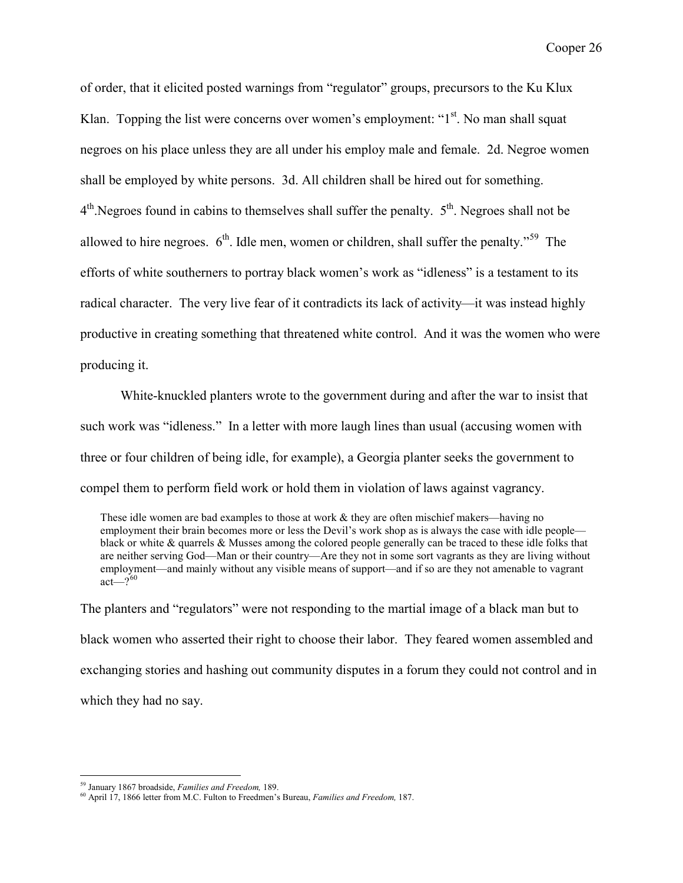of order, that it elicited posted warnings from "regulator" groups, precursors to the Ku Klux Klan. Topping the list were concerns over women's employment: " $1<sup>st</sup>$ . No man shall squat negroes on his place unless they are all under his employ male and female. 2d. Negroe women shall be employed by white persons. 3d. All children shall be hired out for something.  $4<sup>th</sup>$ . Negroes found in cabins to themselves shall suffer the penalty.  $5<sup>th</sup>$ . Negroes shall not be allowed to hire negroes.  $6<sup>th</sup>$ . Idle men, women or children, shall suffer the penalty.<sup>[59](#page-26-1)</sup> The efforts of white southerners to portray black women's work as "idleness" is a testament to its radical character. The very live fear of it contradicts its lack of activity—it was instead highly productive in creating something that threatened white control. And it was the women who were producing it.

White-knuckled planters wrote to the government during and after the war to insist that such work was "idleness." In a letter with more laugh lines than usual (accusing women with three or four children of being idle, for example), a Georgia planter seeks the government to compel them to perform field work or hold them in violation of laws against vagrancy.

These idle women are bad examples to those at work  $&$  they are often mischief makers—having no employment their brain becomes more or less the Devil's work shop as is always the case with idle people black or white & quarrels & Musses among the colored people generally can be traced to these idle folks that are neither serving God—Man or their country—Are they not in some sort vagrants as they are living without employment—and mainly without any visible means of support—and if so are they not amenable to vagrant act— $2^{60}$  $2^{60}$  $2^{60}$ 

The planters and "regulators" were not responding to the martial image of a black man but to black women who asserted their right to choose their labor. They feared women assembled and exchanging stories and hashing out community disputes in a forum they could not control and in which they had no say.

 <sup>59</sup> January <sup>1867</sup> broadside, *Families and Freedom,* 189.

<span id="page-26-1"></span><span id="page-26-0"></span><sup>60</sup> April 17, 1866 letter from M.C. Fulton to Freedmen's Bureau, *Families and Freedom,* 187.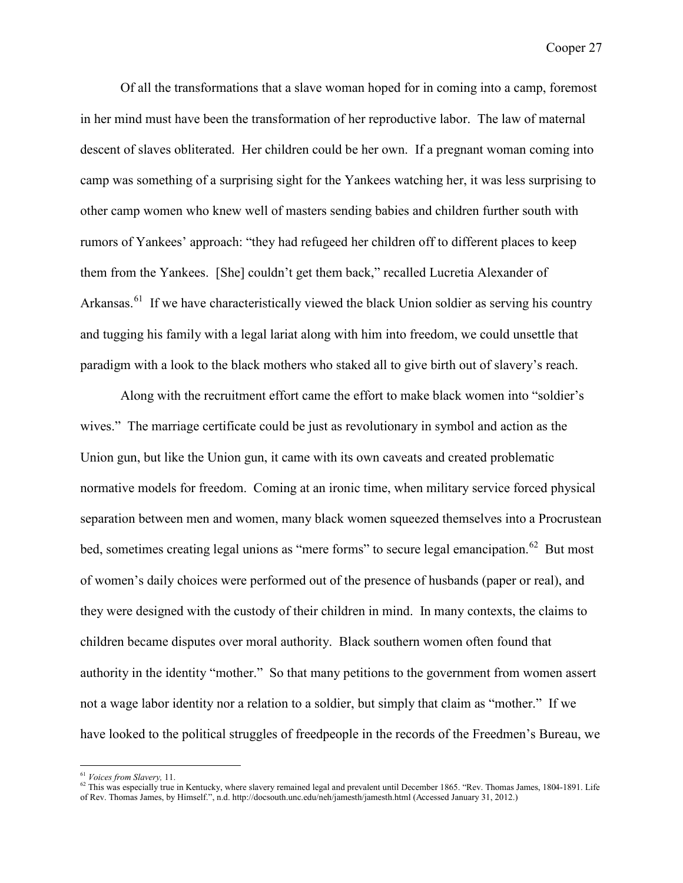Of all the transformations that a slave woman hoped for in coming into a camp, foremost in her mind must have been the transformation of her reproductive labor. The law of maternal descent of slaves obliterated. Her children could be her own. If a pregnant woman coming into camp was something of a surprising sight for the Yankees watching her, it was less surprising to other camp women who knew well of masters sending babies and children further south with rumors of Yankees' approach: "they had refugeed her children off to different places to keep them from the Yankees. [She] couldn't get them back," recalled Lucretia Alexander of Arkansas.<sup>[61](#page-27-1)</sup> If we have characteristically viewed the black Union soldier as serving his country and tugging his family with a legal lariat along with him into freedom, we could unsettle that paradigm with a look to the black mothers who staked all to give birth out of slavery's reach.

Along with the recruitment effort came the effort to make black women into "soldier's wives." The marriage certificate could be just as revolutionary in symbol and action as the Union gun, but like the Union gun, it came with its own caveats and created problematic normative models for freedom. Coming at an ironic time, when military service forced physical separation between men and women, many black women squeezed themselves into a Procrustean bed, sometimes creating legal unions as "mere forms" to secure legal emancipation.<sup>62</sup> But most of women's daily choices were performed out of the presence of husbands (paper or real), and they were designed with the custody of their children in mind. In many contexts, the claims to children became disputes over moral authority. Black southern women often found that authority in the identity "mother." So that many petitions to the government from women assert not a wage labor identity nor a relation to a soldier, but simply that claim as "mother." If we have looked to the political struggles of freedpeople in the records of the Freedmen's Bureau, we

<span id="page-27-1"></span><span id="page-27-0"></span><sup>&</sup>lt;sup>61</sup> *Voices from Slavery*, 11.<br><sup>62</sup> This was especially true in Kentucky, where slavery remained legal and prevalent until December 1865. "Rev. Thomas James, 1804-1891. Life of Rev. Thomas James, by Himself.", n.d. http://docsouth.unc.edu/neh/jamesth/jamesth.html (Accessed January 31, 2012.)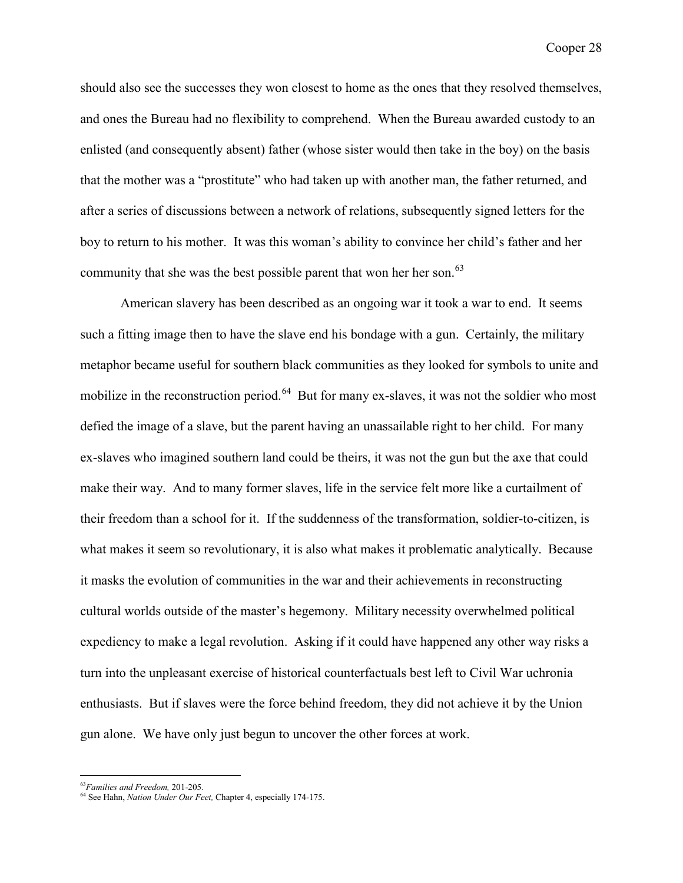should also see the successes they won closest to home as the ones that they resolved themselves, and ones the Bureau had no flexibility to comprehend. When the Bureau awarded custody to an enlisted (and consequently absent) father (whose sister would then take in the boy) on the basis that the mother was a "prostitute" who had taken up with another man, the father returned, and after a series of discussions between a network of relations, subsequently signed letters for the boy to return to his mother. It was this woman's ability to convince her child's father and her community that she was the best possible parent that won her her son.<sup>[63](#page-28-1)</sup>

American slavery has been described as an ongoing war it took a war to end. It seems such a fitting image then to have the slave end his bondage with a gun. Certainly, the military metaphor became useful for southern black communities as they looked for symbols to unite and mobilize in the reconstruction period.<sup>[64](#page-28-0)</sup> But for many ex-slaves, it was not the soldier who most defied the image of a slave, but the parent having an unassailable right to her child. For many ex-slaves who imagined southern land could be theirs, it was not the gun but the axe that could make their way. And to many former slaves, life in the service felt more like a curtailment of their freedom than a school for it. If the suddenness of the transformation, soldier-to-citizen, is what makes it seem so revolutionary, it is also what makes it problematic analytically. Because it masks the evolution of communities in the war and their achievements in reconstructing cultural worlds outside of the master's hegemony. Military necessity overwhelmed political expediency to make a legal revolution. Asking if it could have happened any other way risks a turn into the unpleasant exercise of historical counterfactuals best left to Civil War uchronia enthusiasts. But if slaves were the force behind freedom, they did not achieve it by the Union gun alone. We have only just begun to uncover the other forces at work.

 <sup>63</sup>*Families and Freedom,* 201-205.

<span id="page-28-1"></span><span id="page-28-0"></span><sup>64</sup> See Hahn, *Nation Under Our Feet,* Chapter 4, especially 174-175.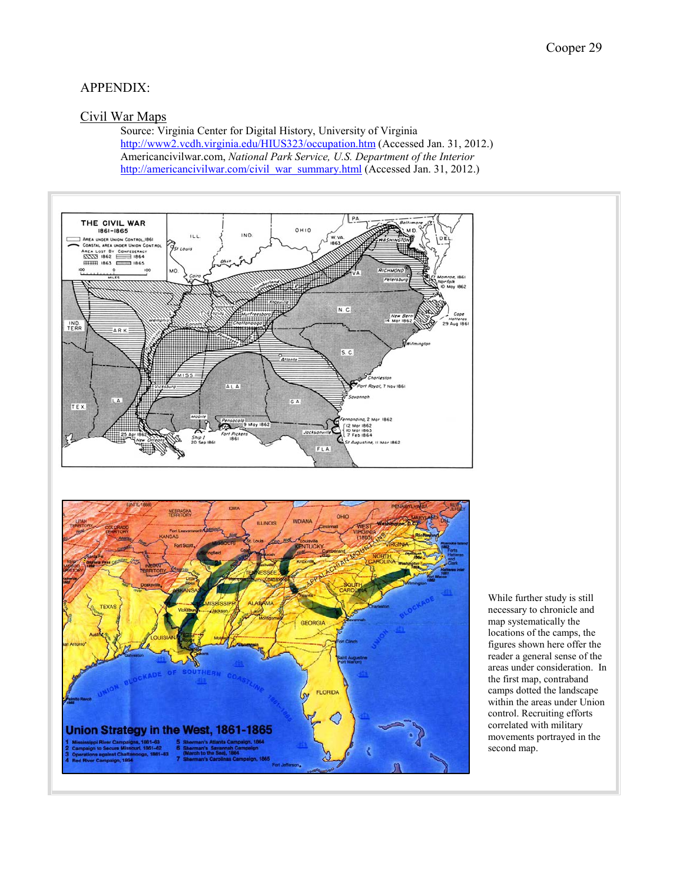# APPENDIX:

## Civil War Maps

Source: Virginia Center for Digital History, University of Virginia <http://www2.vcdh.virginia.edu/HIUS323/occupation.htm> (Accessed Jan. 31, 2012.) Americancivilwar.com, *National Park Service, U.S. Department of the Interior*  [http://americancivilwar.com/civil\\_war\\_summary.html](http://americancivilwar.com/civil_war_summary.html) (Accessed Jan. 31, 2012.)





While further study is still necessary to chronicle and map systematically the locations of the camps, the figures shown here offer the reader a general sense of the areas under consideration. In the first map, contraband camps dotted the landscape within the areas under Union control. Recruiting efforts correlated with military movements portrayed in the second map.